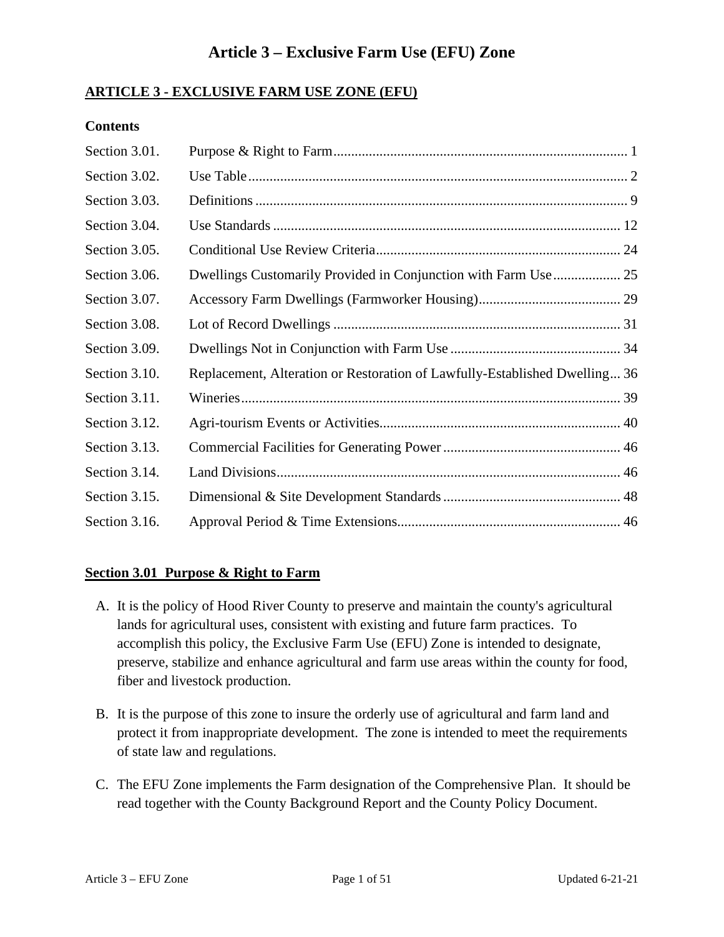# **Article 3 – Exclusive Farm Use (EFU) Zone**

#### **ARTICLE 3 - EXCLUSIVE FARM USE ZONE (EFU)**

#### **Contents**

| Section 3.01. |                                                                            |  |
|---------------|----------------------------------------------------------------------------|--|
| Section 3.02. |                                                                            |  |
| Section 3.03. |                                                                            |  |
| Section 3.04. |                                                                            |  |
| Section 3.05. |                                                                            |  |
| Section 3.06. |                                                                            |  |
| Section 3.07. |                                                                            |  |
| Section 3.08. |                                                                            |  |
| Section 3.09. |                                                                            |  |
| Section 3.10. | Replacement, Alteration or Restoration of Lawfully-Established Dwelling 36 |  |
| Section 3.11. |                                                                            |  |
| Section 3.12. |                                                                            |  |
| Section 3.13. |                                                                            |  |
| Section 3.14. |                                                                            |  |
| Section 3.15. |                                                                            |  |
| Section 3.16. |                                                                            |  |

#### <span id="page-0-1"></span><span id="page-0-0"></span>**Section 3.01 Purpose & Right to Farm**

- A. It is the policy of Hood River County to preserve and maintain the county's agricultural lands for agricultural uses, consistent with existing and future farm practices. To accomplish this policy, the Exclusive Farm Use (EFU) Zone is intended to designate, preserve, stabilize and enhance agricultural and farm use areas within the county for food, fiber and livestock production.
- B. It is the purpose of this zone to insure the orderly use of agricultural and farm land and protect it from inappropriate development. The zone is intended to meet the requirements of state law and regulations.
- C. The EFU Zone implements the Farm designation of the Comprehensive Plan. It should be read together with the County Background Report and the County Policy Document.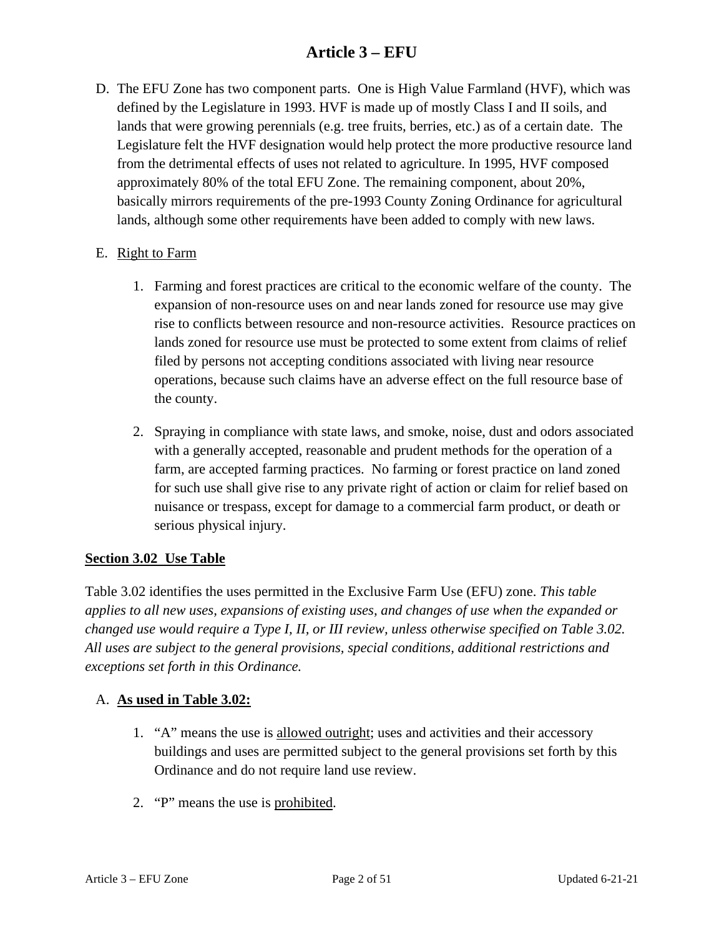D. The EFU Zone has two component parts. One is High Value Farmland (HVF), which was defined by the Legislature in 1993. HVF is made up of mostly Class I and II soils, and lands that were growing perennials (e.g. tree fruits, berries, etc.) as of a certain date. The Legislature felt the HVF designation would help protect the more productive resource land from the detrimental effects of uses not related to agriculture. In 1995, HVF composed approximately 80% of the total EFU Zone. The remaining component, about 20%, basically mirrors requirements of the pre-1993 County Zoning Ordinance for agricultural lands, although some other requirements have been added to comply with new laws.

#### E. Right to Farm

- 1. Farming and forest practices are critical to the economic welfare of the county. The expansion of non-resource uses on and near lands zoned for resource use may give rise to conflicts between resource and non-resource activities. Resource practices on lands zoned for resource use must be protected to some extent from claims of relief filed by persons not accepting conditions associated with living near resource operations, because such claims have an adverse effect on the full resource base of the county.
- 2. Spraying in compliance with state laws, and smoke, noise, dust and odors associated with a generally accepted, reasonable and prudent methods for the operation of a farm, are accepted farming practices. No farming or forest practice on land zoned for such use shall give rise to any private right of action or claim for relief based on nuisance or trespass, except for damage to a commercial farm product, or death or serious physical injury.

#### **Section 3.02 Use Table**

Table 3.02 identifies the uses permitted in the Exclusive Farm Use (EFU) zone. *This table applies to all new uses, expansions of existing uses, and changes of use when the expanded or changed use would require a Type I, II, or III review, unless otherwise specified on Table 3.02. All uses are subject to the general provisions, special conditions, additional restrictions and exceptions set forth in this Ordinance.*

#### A. **As used in Table 3.02:**

- 1. "A" means the use is allowed outright; uses and activities and their accessory buildings and uses are permitted subject to the general provisions set forth by this Ordinance and do not require land use review.
- 2. "P" means the use is prohibited.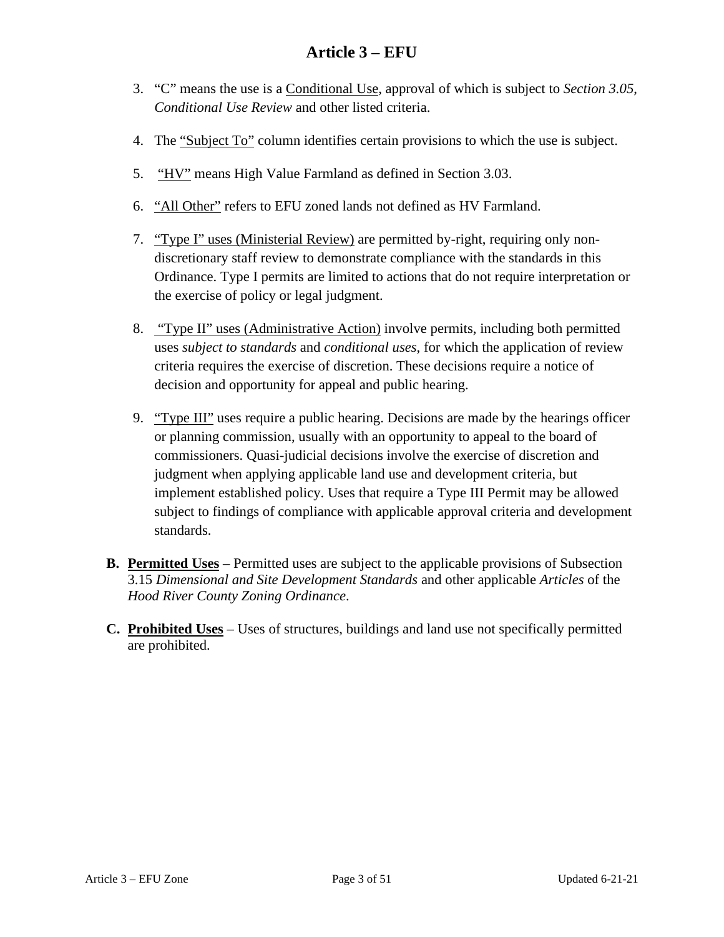- 3. "C" means the use is a Conditional Use, approval of which is subject to *Section 3.05*, *Conditional Use Review* and other listed criteria.
- 4. The "Subject To" column identifies certain provisions to which the use is subject.
- 5. "HV" means High Value Farmland as defined in Section 3.03.
- 6. "All Other" refers to EFU zoned lands not defined as HV Farmland.
- 7. "Type I" uses (Ministerial Review) are permitted by-right, requiring only nondiscretionary staff review to demonstrate compliance with the standards in this Ordinance. Type I permits are limited to actions that do not require interpretation or the exercise of policy or legal judgment.
- 8. "Type II" uses (Administrative Action) involve permits, including both permitted uses *subject to standards* and *conditional uses*, for which the application of review criteria requires the exercise of discretion. These decisions require a notice of decision and opportunity for appeal and public hearing.
- 9. "Type III" uses require a public hearing. Decisions are made by the hearings officer or planning commission, usually with an opportunity to appeal to the board of commissioners. Quasi-judicial decisions involve the exercise of discretion and judgment when applying applicable land use and development criteria, but implement established policy. Uses that require a Type III Permit may be allowed subject to findings of compliance with applicable approval criteria and development standards.
- **B. Permitted Uses** Permitted uses are subject to the applicable provisions of Subsection 3.15 *Dimensional and Site Development Standards* and other applicable *Articles* of the *Hood River County Zoning Ordinance*.
- **C. Prohibited Uses** Uses of structures, buildings and land use not specifically permitted are prohibited.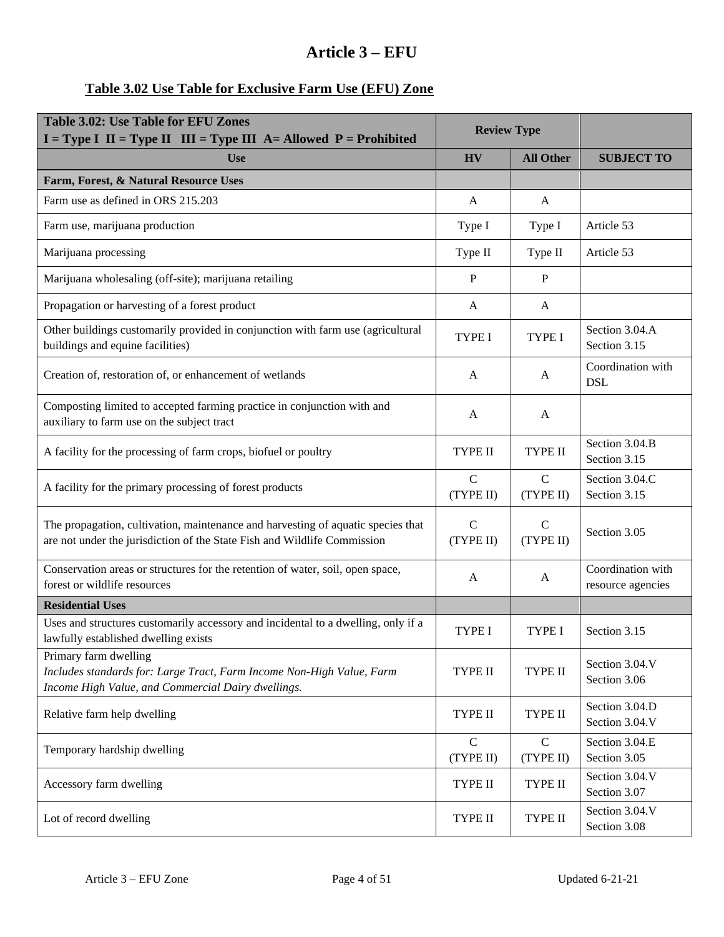# **Table 3.02 Use Table for Exclusive Farm Use (EFU) Zone**

| <b>Table 3.02: Use Table for EFU Zones</b><br>$I = Type I$ II = Type II III = Type III A = Allowed P = Prohibited                                            | <b>Review Type</b>         |                           |                                        |
|--------------------------------------------------------------------------------------------------------------------------------------------------------------|----------------------------|---------------------------|----------------------------------------|
| <b>Use</b>                                                                                                                                                   | <b>HV</b>                  | <b>All Other</b>          | <b>SUBJECT TO</b>                      |
| Farm, Forest, & Natural Resource Uses                                                                                                                        |                            |                           |                                        |
| Farm use as defined in ORS 215.203                                                                                                                           | A                          | A                         |                                        |
| Farm use, marijuana production                                                                                                                               | Type I                     | Type I                    | Article 53                             |
| Marijuana processing                                                                                                                                         | Type II                    | Type II                   | Article 53                             |
| Marijuana wholesaling (off-site); marijuana retailing                                                                                                        | P                          | P                         |                                        |
| Propagation or harvesting of a forest product                                                                                                                | A                          | A                         |                                        |
| Other buildings customarily provided in conjunction with farm use (agricultural<br>buildings and equine facilities)                                          | <b>TYPE I</b>              | <b>TYPE I</b>             | Section 3.04.A<br>Section 3.15         |
| Creation of, restoration of, or enhancement of wetlands                                                                                                      | A                          | A                         | Coordination with<br><b>DSL</b>        |
| Composting limited to accepted farming practice in conjunction with and<br>auxiliary to farm use on the subject tract                                        | A                          | A                         |                                        |
| A facility for the processing of farm crops, biofuel or poultry                                                                                              | TYPE II                    | <b>TYPE II</b>            | Section 3.04.B<br>Section 3.15         |
| A facility for the primary processing of forest products                                                                                                     | $\mathbf C$<br>(TYPE II)   | $\mathbf C$<br>(TYPE II)  | Section 3.04.C<br>Section 3.15         |
| The propagation, cultivation, maintenance and harvesting of aquatic species that<br>are not under the jurisdiction of the State Fish and Wildlife Commission | $\mathsf{C}$<br>(TYPE II)  | $\mathsf{C}$<br>(TYPE II) | Section 3.05                           |
| Conservation areas or structures for the retention of water, soil, open space,<br>forest or wildlife resources                                               | A                          | A                         | Coordination with<br>resource agencies |
| <b>Residential Uses</b>                                                                                                                                      |                            |                           |                                        |
| Uses and structures customarily accessory and incidental to a dwelling, only if a<br>lawfully established dwelling exists                                    | <b>TYPE I</b>              | <b>TYPE I</b>             | Section 3.15                           |
| Primary farm dwelling<br>Includes standards for: Large Tract, Farm Income Non-High Value, Farm<br>Income High Value, and Commercial Dairy dwellings.         | TYPE II                    | <b>TYPE II</b>            | Section 3.04.V<br>Section 3.06         |
| Relative farm help dwelling                                                                                                                                  | TYPE II                    | <b>TYPE II</b>            | Section 3.04.D<br>Section 3.04.V       |
| Temporary hardship dwelling                                                                                                                                  | $\mathcal{C}$<br>(TYPE II) | $\mathbf C$<br>(TYPE II)  | Section 3.04.E<br>Section 3.05         |
| Accessory farm dwelling                                                                                                                                      | TYPE II                    | TYPE II                   | Section 3.04.V<br>Section 3.07         |
| Lot of record dwelling                                                                                                                                       | TYPE II                    | TYPE II                   | Section 3.04.V<br>Section 3.08         |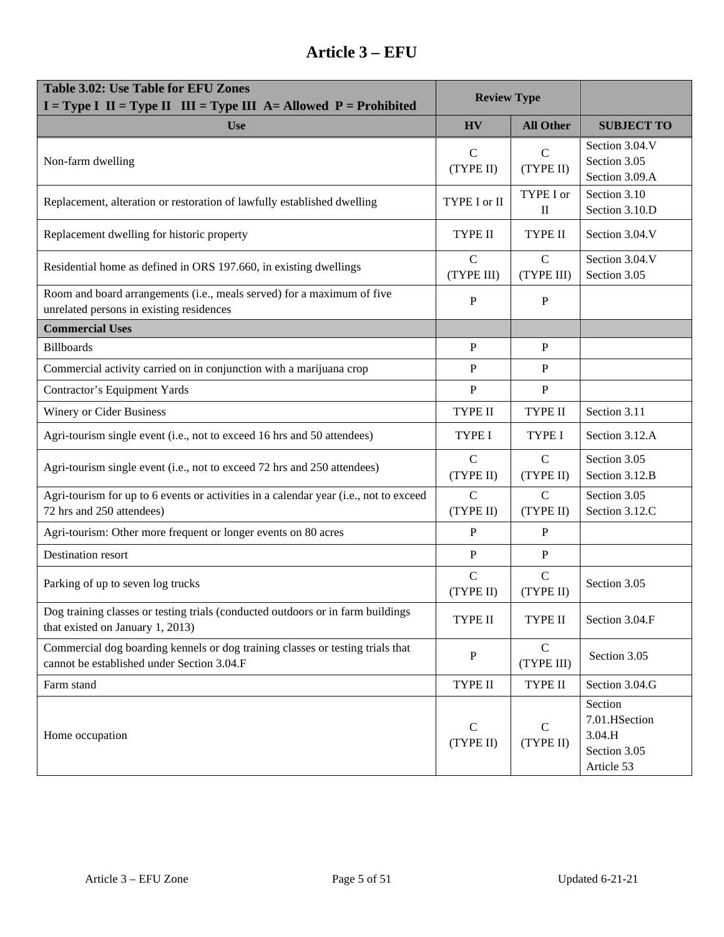| <b>Table 3.02: Use Table for EFU Zones</b><br><b>Review Type</b><br>$I = Type I$ $II = Type II$ $III = Type III$ A= Allowed $P =$ Prohibited |                             |                                              |                                                                  |
|----------------------------------------------------------------------------------------------------------------------------------------------|-----------------------------|----------------------------------------------|------------------------------------------------------------------|
| <b>Use</b>                                                                                                                                   | <b>HV</b>                   | <b>All Other</b>                             | <b>SUBJECT TO</b>                                                |
| Non-farm dwelling                                                                                                                            | $\mathbf C$<br>(TYPE II)    | $\mathsf{C}$<br>(TYPE II)                    | Section 3.04.V<br>Section 3.05<br>Section 3.09.A                 |
| Replacement, alteration or restoration of lawfully established dwelling                                                                      | TYPE I or II                | TYPE I or<br>$\mathop{\mathrm{II}}\nolimits$ | Section 3.10<br>Section 3.10.D                                   |
| Replacement dwelling for historic property                                                                                                   | TYPE II                     | <b>TYPE II</b>                               | Section 3.04.V                                                   |
| Residential home as defined in ORS 197.660, in existing dwellings                                                                            | $\mathcal{C}$<br>(TYPE III) | $\mathcal{C}$<br>(TYPE III)                  | Section 3.04.V<br>Section 3.05                                   |
| Room and board arrangements (i.e., meals served) for a maximum of five<br>unrelated persons in existing residences                           | $\mathbf{P}$                | $\mathbf{P}$                                 |                                                                  |
| <b>Commercial Uses</b>                                                                                                                       |                             |                                              |                                                                  |
| <b>Billboards</b>                                                                                                                            | $\mathbf{P}$                | $\mathbf{P}$                                 |                                                                  |
| Commercial activity carried on in conjunction with a marijuana crop                                                                          | P                           | P                                            |                                                                  |
| Contractor's Equipment Yards                                                                                                                 | $\mathbf{P}$                | $\mathbf{P}$                                 |                                                                  |
| Winery or Cider Business                                                                                                                     | TYPE II                     | <b>TYPE II</b>                               | Section 3.11                                                     |
| Agri-tourism single event (i.e., not to exceed 16 hrs and 50 attendees)                                                                      | <b>TYPE I</b>               | <b>TYPE I</b>                                | Section 3.12.A                                                   |
| Agri-tourism single event (i.e., not to exceed 72 hrs and 250 attendees)                                                                     | $\mathsf{C}$<br>(TYPE II)   | $\mathbf C$<br>(TYPE II)                     | Section 3.05<br>Section 3.12.B                                   |
| Agri-tourism for up to 6 events or activities in a calendar year (i.e., not to exceed<br>72 hrs and 250 attendees)                           | $\mathcal{C}$<br>(TYPE II)  | $\mathcal{C}$<br>(TYPE II)                   | Section 3.05<br>Section 3.12.C                                   |
| Agri-tourism: Other more frequent or longer events on 80 acres                                                                               | $\mathbf{P}$                | P                                            |                                                                  |
| Destination resort                                                                                                                           | $\mathbf{P}$                | $\, {\bf P}$                                 |                                                                  |
| Parking of up to seven log trucks                                                                                                            | $\mathsf C$<br>(TYPE II)    | $\mathbf C$<br>(TYPE II)                     | Section 3.05                                                     |
| Dog training classes or testing trials (conducted outdoors or in farm buildings<br>that existed on January 1, 2013)                          | TYPE II                     | TYPE II                                      | Section 3.04.F                                                   |
| Commercial dog boarding kennels or dog training classes or testing trials that<br>cannot be established under Section 3.04.F                 | $\, {\bf P}$                | $\mathbf C$<br>(TYPE III)                    | Section 3.05                                                     |
| Farm stand                                                                                                                                   | TYPE II                     | TYPE II                                      | Section 3.04.G                                                   |
| Home occupation                                                                                                                              | $\mathbf C$<br>(TYPE II)    | $\mathsf{C}$<br>(TYPE II)                    | Section<br>7.01.HSection<br>3.04.H<br>Section 3.05<br>Article 53 |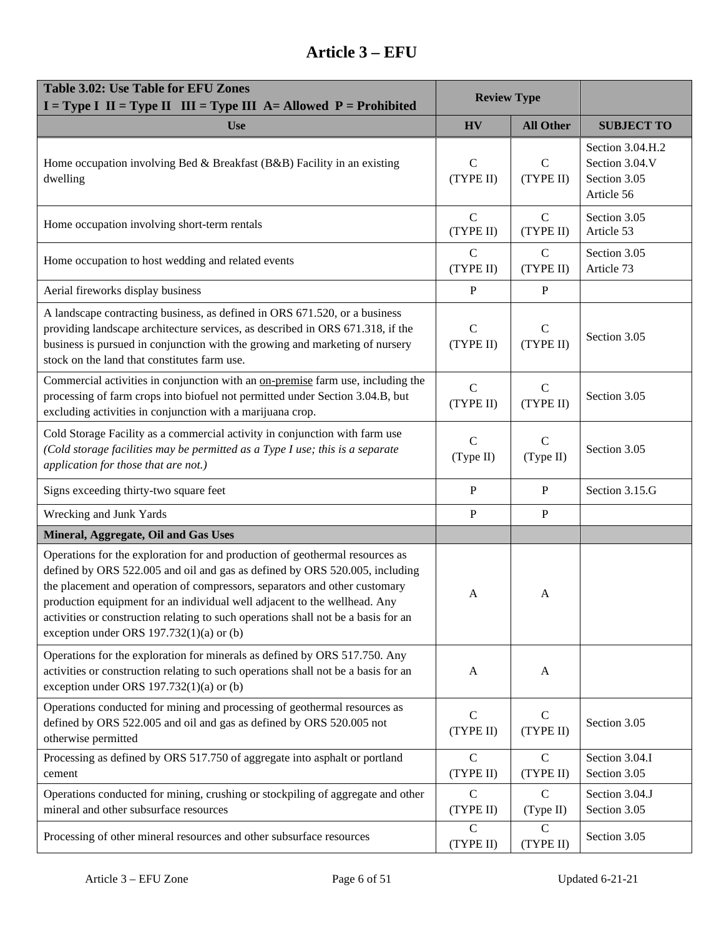| Table 3.02: Use Table for EFU Zones<br>$I = Type I$ II = Type II III = Type III A = Allowed P = Prohibited                                                                                                                                                                                                                                                                                                                                                 | <b>Review Type</b>         |                            |                                                                  |
|------------------------------------------------------------------------------------------------------------------------------------------------------------------------------------------------------------------------------------------------------------------------------------------------------------------------------------------------------------------------------------------------------------------------------------------------------------|----------------------------|----------------------------|------------------------------------------------------------------|
| <b>Use</b>                                                                                                                                                                                                                                                                                                                                                                                                                                                 | <b>HV</b>                  | <b>All Other</b>           | <b>SUBJECT TO</b>                                                |
| Home occupation involving Bed & Breakfast (B&B) Facility in an existing<br>dwelling                                                                                                                                                                                                                                                                                                                                                                        | $\mathsf{C}$<br>(TYPE II)  | $\mathbf C$<br>(TYPE II)   | Section 3.04.H.2<br>Section 3.04.V<br>Section 3.05<br>Article 56 |
| Home occupation involving short-term rentals                                                                                                                                                                                                                                                                                                                                                                                                               | $\mathbf C$<br>(TYPE II)   | $\mathbf C$<br>(TYPE II)   | Section 3.05<br>Article 53                                       |
| Home occupation to host wedding and related events                                                                                                                                                                                                                                                                                                                                                                                                         | $\mathcal{C}$<br>(TYPE II) | $\mathbf C$<br>(TYPE II)   | Section 3.05<br>Article 73                                       |
| Aerial fireworks display business                                                                                                                                                                                                                                                                                                                                                                                                                          | $\mathbf{P}$               | $\mathbf{P}$               |                                                                  |
| A landscape contracting business, as defined in ORS 671.520, or a business<br>providing landscape architecture services, as described in ORS 671.318, if the<br>business is pursued in conjunction with the growing and marketing of nursery<br>stock on the land that constitutes farm use.                                                                                                                                                               | $\mathbf C$<br>(TYPE II)   | $\mathbf C$<br>(TYPE II)   | Section 3.05                                                     |
| Commercial activities in conjunction with an on-premise farm use, including the<br>processing of farm crops into biofuel not permitted under Section 3.04.B, but<br>excluding activities in conjunction with a marijuana crop.                                                                                                                                                                                                                             | $\mathbf C$<br>(TYPE II)   | $\mathsf{C}$<br>(TYPE II)  | Section 3.05                                                     |
| Cold Storage Facility as a commercial activity in conjunction with farm use<br>(Cold storage facilities may be permitted as a Type I use; this is a separate<br>application for those that are not.)                                                                                                                                                                                                                                                       | $\mathbf C$<br>(Type II)   | $\mathsf{C}$<br>(Type II)  | Section 3.05                                                     |
| Signs exceeding thirty-two square feet                                                                                                                                                                                                                                                                                                                                                                                                                     | ${\bf P}$                  | $\mathbf{P}$               | Section 3.15.G                                                   |
| Wrecking and Junk Yards                                                                                                                                                                                                                                                                                                                                                                                                                                    | P                          | $\mathbf P$                |                                                                  |
| Mineral, Aggregate, Oil and Gas Uses                                                                                                                                                                                                                                                                                                                                                                                                                       |                            |                            |                                                                  |
| Operations for the exploration for and production of geothermal resources as<br>defined by ORS 522.005 and oil and gas as defined by ORS 520.005, including<br>the placement and operation of compressors, separators and other customary<br>production equipment for an individual well adjacent to the wellhead. Any<br>activities or construction relating to such operations shall not be a basis for an<br>exception under ORS $197.732(1)(a)$ or (b) | A                          | A                          |                                                                  |
| Operations for the exploration for minerals as defined by ORS 517.750. Any<br>activities or construction relating to such operations shall not be a basis for an<br>exception under ORS $197.732(1)(a)$ or (b)                                                                                                                                                                                                                                             | A                          | A                          |                                                                  |
| Operations conducted for mining and processing of geothermal resources as<br>defined by ORS 522.005 and oil and gas as defined by ORS 520.005 not<br>otherwise permitted                                                                                                                                                                                                                                                                                   | $\mathsf{C}$<br>(TYPE II)  | $\mathcal{C}$<br>(TYPE II) | Section 3.05                                                     |
| Processing as defined by ORS 517.750 of aggregate into asphalt or portland<br>cement                                                                                                                                                                                                                                                                                                                                                                       | $\mathbf C$<br>(TYPE II)   | $\mathbf C$<br>(TYPE II)   | Section 3.04.I<br>Section 3.05                                   |
| Operations conducted for mining, crushing or stockpiling of aggregate and other<br>mineral and other subsurface resources                                                                                                                                                                                                                                                                                                                                  | $\mathbf C$<br>(TYPE II)   | $\mathbf C$<br>(Type II)   | Section 3.04.J<br>Section 3.05                                   |
| Processing of other mineral resources and other subsurface resources                                                                                                                                                                                                                                                                                                                                                                                       | $\mathbf C$<br>(TYPE II)   | $\mathbf C$<br>(TYPE II)   | Section 3.05                                                     |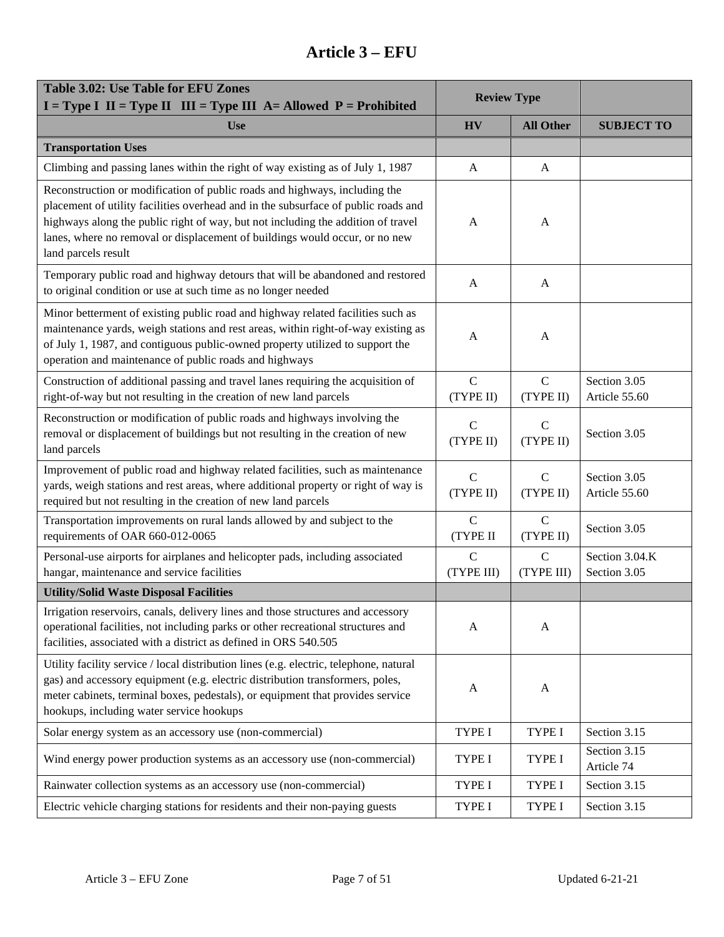| <b>Table 3.02: Use Table for EFU Zones</b><br>$I = Type I$ II = Type II III = Type III A = Allowed P = Prohibited                                                                                                                                                                                                                                          | <b>Review Type</b>         |                           |                                |
|------------------------------------------------------------------------------------------------------------------------------------------------------------------------------------------------------------------------------------------------------------------------------------------------------------------------------------------------------------|----------------------------|---------------------------|--------------------------------|
| <b>Use</b>                                                                                                                                                                                                                                                                                                                                                 | <b>HV</b>                  | <b>All Other</b>          | <b>SUBJECT TO</b>              |
| <b>Transportation Uses</b>                                                                                                                                                                                                                                                                                                                                 |                            |                           |                                |
| Climbing and passing lanes within the right of way existing as of July 1, 1987                                                                                                                                                                                                                                                                             | A                          | A                         |                                |
| Reconstruction or modification of public roads and highways, including the<br>placement of utility facilities overhead and in the subsurface of public roads and<br>highways along the public right of way, but not including the addition of travel<br>lanes, where no removal or displacement of buildings would occur, or no new<br>land parcels result | A                          | A                         |                                |
| Temporary public road and highway detours that will be abandoned and restored<br>to original condition or use at such time as no longer needed                                                                                                                                                                                                             | A                          | A                         |                                |
| Minor betterment of existing public road and highway related facilities such as<br>maintenance yards, weigh stations and rest areas, within right-of-way existing as<br>of July 1, 1987, and contiguous public-owned property utilized to support the<br>operation and maintenance of public roads and highways                                            | A                          | A                         |                                |
| Construction of additional passing and travel lanes requiring the acquisition of<br>right-of-way but not resulting in the creation of new land parcels                                                                                                                                                                                                     | $\mathbf C$<br>(TYPE II)   | $\mathbf C$<br>(TYPE II)  | Section 3.05<br>Article 55.60  |
| Reconstruction or modification of public roads and highways involving the<br>removal or displacement of buildings but not resulting in the creation of new<br>land parcels                                                                                                                                                                                 | $\mathbf C$<br>(TYPE II)   | $\mathbf C$<br>(TYPE II)  | Section 3.05                   |
| Improvement of public road and highway related facilities, such as maintenance<br>yards, weigh stations and rest areas, where additional property or right of way is<br>required but not resulting in the creation of new land parcels                                                                                                                     | $\mathbf C$<br>(TYPE II)   | $\mathbf C$<br>(TYPE II)  | Section 3.05<br>Article 55.60  |
| Transportation improvements on rural lands allowed by and subject to the<br>requirements of OAR 660-012-0065                                                                                                                                                                                                                                               | $\overline{C}$<br>(TYPE II | $\mathbf C$<br>(TYPE II)  | Section 3.05                   |
| Personal-use airports for airplanes and helicopter pads, including associated<br>hangar, maintenance and service facilities                                                                                                                                                                                                                                | $\mathbf C$<br>(TYPE III)  | $\mathbf C$<br>(TYPE III) | Section 3.04.K<br>Section 3.05 |
| <b>Utility/Solid Waste Disposal Facilities</b>                                                                                                                                                                                                                                                                                                             |                            |                           |                                |
| Irrigation reservoirs, canals, delivery lines and those structures and accessory<br>operational facilities, not including parks or other recreational structures and<br>facilities, associated with a district as defined in ORS 540.505                                                                                                                   | A                          | A                         |                                |
| Utility facility service / local distribution lines (e.g. electric, telephone, natural<br>gas) and accessory equipment (e.g. electric distribution transformers, poles,<br>meter cabinets, terminal boxes, pedestals), or equipment that provides service<br>hookups, including water service hookups                                                      | A                          | A                         |                                |
| Solar energy system as an accessory use (non-commercial)                                                                                                                                                                                                                                                                                                   | TYPE I                     | TYPE I                    | Section 3.15                   |
| Wind energy power production systems as an accessory use (non-commercial)                                                                                                                                                                                                                                                                                  | TYPE I                     | <b>TYPE I</b>             | Section 3.15<br>Article 74     |
| Rainwater collection systems as an accessory use (non-commercial)                                                                                                                                                                                                                                                                                          | TYPE I                     | TYPE I                    | Section 3.15                   |
| Electric vehicle charging stations for residents and their non-paying guests                                                                                                                                                                                                                                                                               | TYPE I                     | TYPE I                    | Section 3.15                   |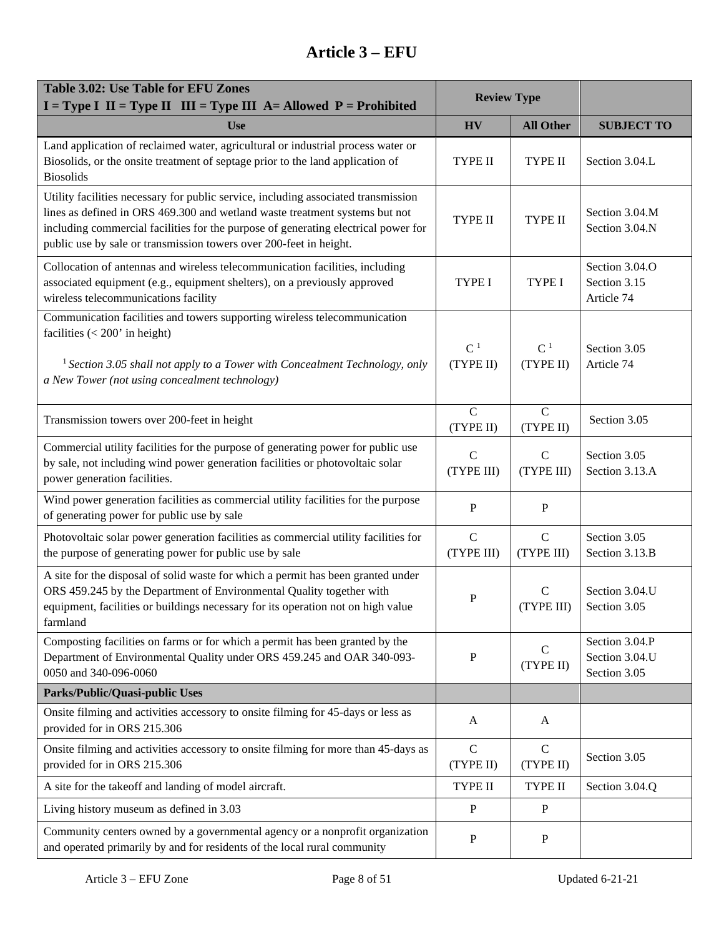| <b>Table 3.02: Use Table for EFU Zones</b><br>$I = Type I$ II = Type II III = Type III A = Allowed P = Prohibited                                                                                                                                                                                                             | <b>Review Type</b>          |                             |                                                  |
|-------------------------------------------------------------------------------------------------------------------------------------------------------------------------------------------------------------------------------------------------------------------------------------------------------------------------------|-----------------------------|-----------------------------|--------------------------------------------------|
| <b>Use</b>                                                                                                                                                                                                                                                                                                                    | <b>HV</b>                   | <b>All Other</b>            | <b>SUBJECT TO</b>                                |
| Land application of reclaimed water, agricultural or industrial process water or<br>Biosolids, or the onsite treatment of septage prior to the land application of<br><b>Biosolids</b>                                                                                                                                        | TYPE II                     | <b>TYPE II</b>              | Section 3.04.L                                   |
| Utility facilities necessary for public service, including associated transmission<br>lines as defined in ORS 469.300 and wetland waste treatment systems but not<br>including commercial facilities for the purpose of generating electrical power for<br>public use by sale or transmission towers over 200-feet in height. | TYPE II                     | <b>TYPE II</b>              | Section 3.04.M<br>Section 3.04.N                 |
| Collocation of antennas and wireless telecommunication facilities, including<br>associated equipment (e.g., equipment shelters), on a previously approved<br>wireless telecommunications facility                                                                                                                             | <b>TYPE I</b>               | TYPE I                      | Section 3.04.O<br>Section 3.15<br>Article 74     |
| Communication facilities and towers supporting wireless telecommunication<br>facilities $(< 200$ ' in height)<br><sup>1</sup> Section 3.05 shall not apply to a Tower with Concealment Technology, only<br>a New Tower (not using concealment technology)                                                                     | C <sup>1</sup><br>(TYPE II) | C <sup>1</sup><br>(TYPE II) | Section 3.05<br>Article 74                       |
| Transmission towers over 200-feet in height                                                                                                                                                                                                                                                                                   | $\overline{C}$<br>(TYPE II) | $\overline{C}$<br>(TYPE II) | Section 3.05                                     |
| Commercial utility facilities for the purpose of generating power for public use<br>by sale, not including wind power generation facilities or photovoltaic solar<br>power generation facilities.                                                                                                                             | $\mathbf C$<br>(TYPE III)   | $\mathbf C$<br>(TYPE III)   | Section 3.05<br>Section 3.13.A                   |
| Wind power generation facilities as commercial utility facilities for the purpose<br>of generating power for public use by sale                                                                                                                                                                                               | P                           | P                           |                                                  |
| Photovoltaic solar power generation facilities as commercial utility facilities for<br>the purpose of generating power for public use by sale                                                                                                                                                                                 | $\mathbf C$<br>(TYPE III)   | $\mathbf C$<br>(TYPE III)   | Section 3.05<br>Section 3.13.B                   |
| A site for the disposal of solid waste for which a permit has been granted under<br>ORS 459.245 by the Department of Environmental Quality together with<br>equipment, facilities or buildings necessary for its operation not on high value<br>farmland                                                                      | ${\bf P}$                   | $\mathsf{C}$<br>(TYPE III)  | Section 3.04.U<br>Section 3.05                   |
| Composting facilities on farms or for which a permit has been granted by the<br>Department of Environmental Quality under ORS 459.245 and OAR 340-093-<br>0050 and 340-096-0060                                                                                                                                               | P                           | $\mathsf{C}$<br>(TYPE II)   | Section 3.04.P<br>Section 3.04.U<br>Section 3.05 |
| Parks/Public/Quasi-public Uses                                                                                                                                                                                                                                                                                                |                             |                             |                                                  |
| Onsite filming and activities accessory to onsite filming for 45-days or less as<br>provided for in ORS 215.306                                                                                                                                                                                                               | A                           | A                           |                                                  |
| Onsite filming and activities accessory to onsite filming for more than 45-days as<br>provided for in ORS 215.306                                                                                                                                                                                                             | $\mathbf C$<br>(TYPE II)    | $\mathcal{C}$<br>(TYPE II)  | Section 3.05                                     |
| A site for the takeoff and landing of model aircraft.                                                                                                                                                                                                                                                                         | TYPE II                     | TYPE II                     | Section 3.04.Q                                   |
| Living history museum as defined in 3.03                                                                                                                                                                                                                                                                                      | P                           | $\mathbf P$                 |                                                  |
| Community centers owned by a governmental agency or a nonprofit organization<br>and operated primarily by and for residents of the local rural community                                                                                                                                                                      | P                           | P                           |                                                  |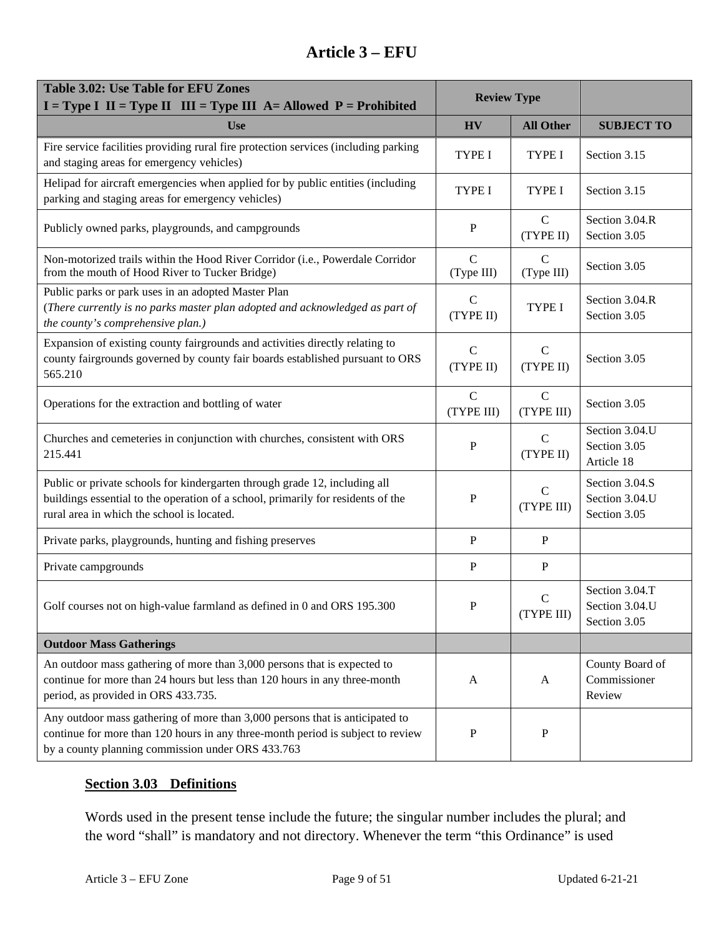| Table 3.02: Use Table for EFU Zones<br>$I = Type I$ II = Type II III = Type III A = Allowed P = Prohibited                                                                                                           | <b>Review Type</b>          |                            |                                                  |
|----------------------------------------------------------------------------------------------------------------------------------------------------------------------------------------------------------------------|-----------------------------|----------------------------|--------------------------------------------------|
| <b>Use</b>                                                                                                                                                                                                           | <b>HV</b>                   | <b>All Other</b>           | <b>SUBJECT TO</b>                                |
| Fire service facilities providing rural fire protection services (including parking<br>and staging areas for emergency vehicles)                                                                                     | <b>TYPE I</b>               | <b>TYPE I</b>              | Section 3.15                                     |
| Helipad for aircraft emergencies when applied for by public entities (including<br>parking and staging areas for emergency vehicles)                                                                                 | <b>TYPE I</b>               | <b>TYPE I</b>              | Section 3.15                                     |
| Publicly owned parks, playgrounds, and campgrounds                                                                                                                                                                   | ${\bf P}$                   | $\mathbf C$<br>(TYPE II)   | Section 3.04.R<br>Section 3.05                   |
| Non-motorized trails within the Hood River Corridor (i.e., Powerdale Corridor<br>from the mouth of Hood River to Tucker Bridge)                                                                                      | $\mathcal{C}$<br>(Type III) | C<br>(Type III)            | Section 3.05                                     |
| Public parks or park uses in an adopted Master Plan<br>(There currently is no parks master plan adopted and acknowledged as part of<br>the county's comprehensive plan.)                                             | $\mathbf C$<br>(TYPE II)    | <b>TYPE I</b>              | Section 3.04.R<br>Section 3.05                   |
| Expansion of existing county fairgrounds and activities directly relating to<br>county fairgrounds governed by county fair boards established pursuant to ORS<br>565.210                                             | $\mathcal{C}$<br>(TYPE II)  | $\mathcal{C}$<br>(TYPE II) | Section 3.05                                     |
| Operations for the extraction and bottling of water                                                                                                                                                                  | $\mathbf C$<br>(TYPE III)   | $\mathbf C$<br>(TYPE III)  | Section 3.05                                     |
| Churches and cemeteries in conjunction with churches, consistent with ORS<br>215.441                                                                                                                                 | P                           | $\mathcal{C}$<br>(TYPE II) | Section 3.04.U<br>Section 3.05<br>Article 18     |
| Public or private schools for kindergarten through grade 12, including all<br>buildings essential to the operation of a school, primarily for residents of the<br>rural area in which the school is located.         | P                           | $\mathsf{C}$<br>(TYPE III) | Section 3.04.S<br>Section 3.04.U<br>Section 3.05 |
| Private parks, playgrounds, hunting and fishing preserves                                                                                                                                                            | P                           | $\, {\bf P}$               |                                                  |
| Private campgrounds                                                                                                                                                                                                  | P                           | $\mathbf P$                |                                                  |
| Golf courses not on high-value farmland as defined in 0 and ORS 195.300                                                                                                                                              | $\mathbf P$                 | $\mathbf C$<br>(TYPE III)  | Section 3.04.T<br>Section 3.04.U<br>Section 3.05 |
| <b>Outdoor Mass Gatherings</b>                                                                                                                                                                                       |                             |                            |                                                  |
| An outdoor mass gathering of more than 3,000 persons that is expected to<br>continue for more than 24 hours but less than 120 hours in any three-month<br>period, as provided in ORS 433.735.                        | A                           | A                          | County Board of<br>Commissioner<br>Review        |
| Any outdoor mass gathering of more than 3,000 persons that is anticipated to<br>continue for more than 120 hours in any three-month period is subject to review<br>by a county planning commission under ORS 433.763 | ${\bf P}$                   | $\mathbf P$                |                                                  |

#### <span id="page-8-0"></span>**Section 3.03 Definitions**

Words used in the present tense include the future; the singular number includes the plural; and the word "shall" is mandatory and not directory. Whenever the term "this Ordinance" is used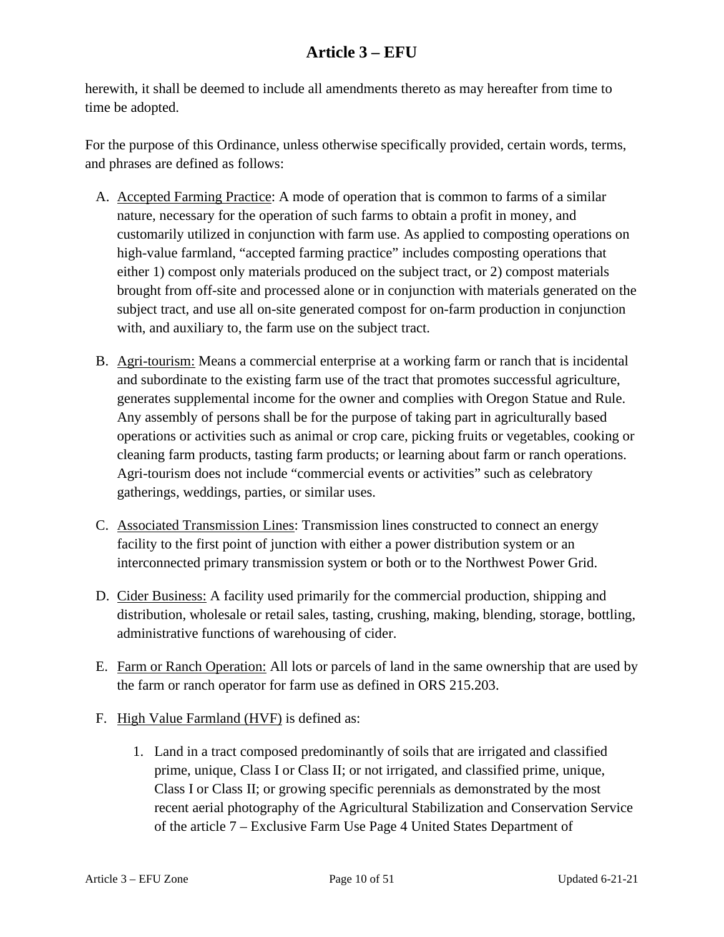herewith, it shall be deemed to include all amendments thereto as may hereafter from time to time be adopted.

For the purpose of this Ordinance, unless otherwise specifically provided, certain words, terms, and phrases are defined as follows:

- A. Accepted Farming Practice: A mode of operation that is common to farms of a similar nature, necessary for the operation of such farms to obtain a profit in money, and customarily utilized in conjunction with farm use. As applied to composting operations on high-value farmland, "accepted farming practice" includes composting operations that either 1) compost only materials produced on the subject tract, or 2) compost materials brought from off-site and processed alone or in conjunction with materials generated on the subject tract, and use all on-site generated compost for on-farm production in conjunction with, and auxiliary to, the farm use on the subject tract.
- B. Agri-tourism: Means a commercial enterprise at a working farm or ranch that is incidental and subordinate to the existing farm use of the tract that promotes successful agriculture, generates supplemental income for the owner and complies with Oregon Statue and Rule. Any assembly of persons shall be for the purpose of taking part in agriculturally based operations or activities such as animal or crop care, picking fruits or vegetables, cooking or cleaning farm products, tasting farm products; or learning about farm or ranch operations. Agri-tourism does not include "commercial events or activities" such as celebratory gatherings, weddings, parties, or similar uses.
- C. Associated Transmission Lines: Transmission lines constructed to connect an energy facility to the first point of junction with either a power distribution system or an interconnected primary transmission system or both or to the Northwest Power Grid.
- D. Cider Business: A facility used primarily for the commercial production, shipping and distribution, wholesale or retail sales, tasting, crushing, making, blending, storage, bottling, administrative functions of warehousing of cider.
- E. Farm or Ranch Operation: All lots or parcels of land in the same ownership that are used by the farm or ranch operator for farm use as defined in ORS 215.203.
- F. High Value Farmland (HVF) is defined as:
	- 1. Land in a tract composed predominantly of soils that are irrigated and classified prime, unique, Class I or Class II; or not irrigated, and classified prime, unique, Class I or Class II; or growing specific perennials as demonstrated by the most recent aerial photography of the Agricultural Stabilization and Conservation Service of the article 7 – Exclusive Farm Use Page 4 United States Department of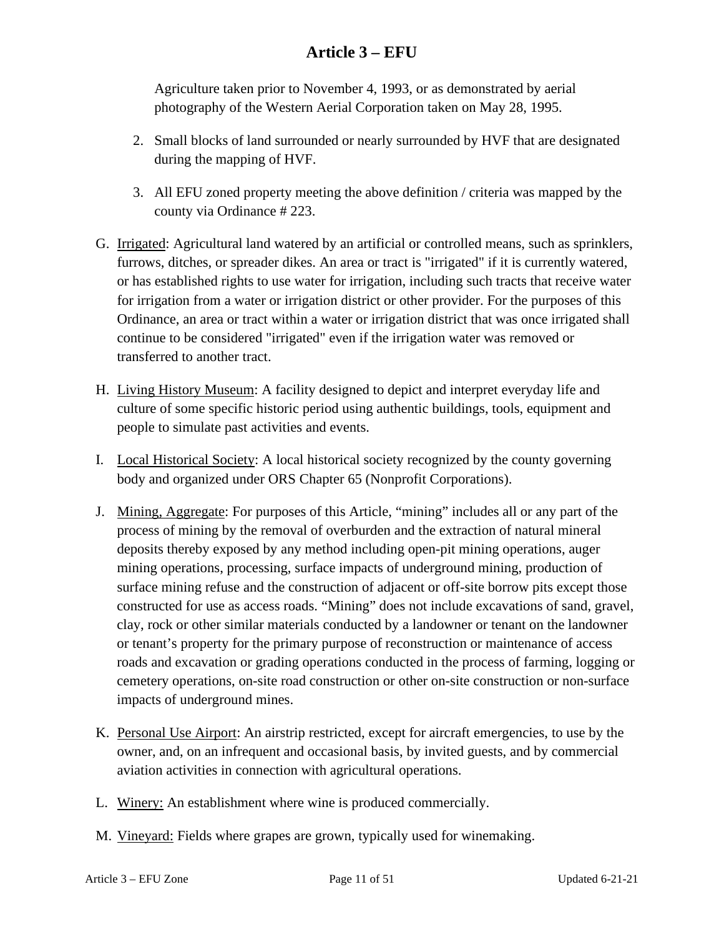Agriculture taken prior to November 4, 1993, or as demonstrated by aerial photography of the Western Aerial Corporation taken on May 28, 1995.

- 2. Small blocks of land surrounded or nearly surrounded by HVF that are designated during the mapping of HVF.
- 3. All EFU zoned property meeting the above definition / criteria was mapped by the county via Ordinance # 223.
- G. Irrigated: Agricultural land watered by an artificial or controlled means, such as sprinklers, furrows, ditches, or spreader dikes. An area or tract is "irrigated" if it is currently watered, or has established rights to use water for irrigation, including such tracts that receive water for irrigation from a water or irrigation district or other provider. For the purposes of this Ordinance, an area or tract within a water or irrigation district that was once irrigated shall continue to be considered "irrigated" even if the irrigation water was removed or transferred to another tract.
- H. Living History Museum: A facility designed to depict and interpret everyday life and culture of some specific historic period using authentic buildings, tools, equipment and people to simulate past activities and events.
- I. Local Historical Society: A local historical society recognized by the county governing body and organized under ORS Chapter 65 (Nonprofit Corporations).
- J. Mining, Aggregate: For purposes of this Article, "mining" includes all or any part of the process of mining by the removal of overburden and the extraction of natural mineral deposits thereby exposed by any method including open-pit mining operations, auger mining operations, processing, surface impacts of underground mining, production of surface mining refuse and the construction of adjacent or off-site borrow pits except those constructed for use as access roads. "Mining" does not include excavations of sand, gravel, clay, rock or other similar materials conducted by a landowner or tenant on the landowner or tenant's property for the primary purpose of reconstruction or maintenance of access roads and excavation or grading operations conducted in the process of farming, logging or cemetery operations, on-site road construction or other on-site construction or non-surface impacts of underground mines.
- K. Personal Use Airport: An airstrip restricted, except for aircraft emergencies, to use by the owner, and, on an infrequent and occasional basis, by invited guests, and by commercial aviation activities in connection with agricultural operations.
- L. Winery: An establishment where wine is produced commercially.
- M. Vineyard: Fields where grapes are grown, typically used for winemaking.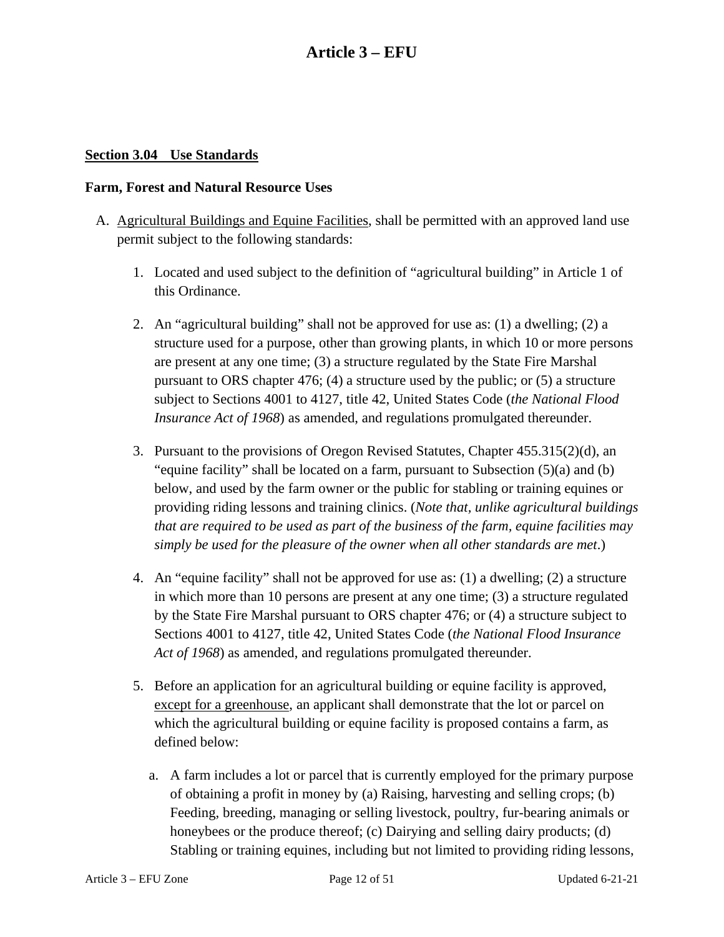#### <span id="page-11-0"></span>**Section 3.04 Use Standards**

#### **Farm, Forest and Natural Resource Uses**

- A. Agricultural Buildings and Equine Facilities, shall be permitted with an approved land use permit subject to the following standards:
	- 1. Located and used subject to the definition of "agricultural building" in Article 1 of this Ordinance.
	- 2. An "agricultural building" shall not be approved for use as: (1) a dwelling; (2) a structure used for a purpose, other than growing plants, in which 10 or more persons are present at any one time; (3) a structure regulated by the State Fire Marshal pursuant to ORS chapter 476; (4) a structure used by the public; or (5) a structure subject to Sections 4001 to 4127, title 42, United States Code (*the National Flood Insurance Act of 1968*) as amended, and regulations promulgated thereunder.
	- 3. Pursuant to the provisions of Oregon Revised Statutes, Chapter 455.315(2)(d), an "equine facility" shall be located on a farm, pursuant to Subsection  $(5)(a)$  and  $(b)$ below, and used by the farm owner or the public for stabling or training equines or providing riding lessons and training clinics. (*Note that, unlike agricultural buildings that are required to be used as part of the business of the farm, equine facilities may simply be used for the pleasure of the owner when all other standards are met*.)
	- 4. An "equine facility" shall not be approved for use as: (1) a dwelling; (2) a structure in which more than 10 persons are present at any one time; (3) a structure regulated by the State Fire Marshal pursuant to ORS chapter 476; or (4) a structure subject to Sections 4001 to 4127, title 42, United States Code (*the National Flood Insurance Act of 1968*) as amended, and regulations promulgated thereunder.
	- 5. Before an application for an agricultural building or equine facility is approved, except for a greenhouse, an applicant shall demonstrate that the lot or parcel on which the agricultural building or equine facility is proposed contains a farm, as defined below:
		- a. A farm includes a lot or parcel that is currently employed for the primary purpose of obtaining a profit in money by (a) Raising, harvesting and selling crops; (b) Feeding, breeding, managing or selling livestock, poultry, fur-bearing animals or honeybees or the produce thereof; (c) Dairying and selling dairy products; (d) Stabling or training equines, including but not limited to providing riding lessons,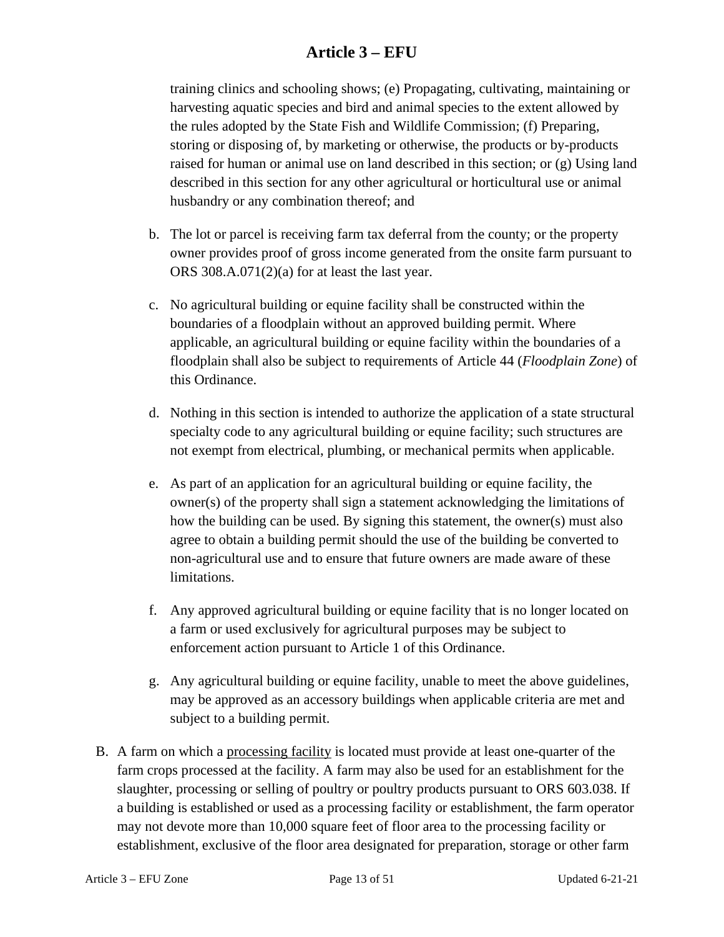training clinics and schooling shows; (e) Propagating, cultivating, maintaining or harvesting aquatic species and bird and animal species to the extent allowed by the rules adopted by the State Fish and Wildlife Commission; (f) Preparing, storing or disposing of, by marketing or otherwise, the products or by-products raised for human or animal use on land described in this section; or (g) Using land described in this section for any other agricultural or horticultural use or animal husbandry or any combination thereof; and

- b. The lot or parcel is receiving farm tax deferral from the county; or the property owner provides proof of gross income generated from the onsite farm pursuant to ORS 308.A.071(2)(a) for at least the last year.
- c. No agricultural building or equine facility shall be constructed within the boundaries of a floodplain without an approved building permit. Where applicable, an agricultural building or equine facility within the boundaries of a floodplain shall also be subject to requirements of Article 44 (*Floodplain Zone*) of this Ordinance.
- d. Nothing in this section is intended to authorize the application of a state structural specialty code to any agricultural building or equine facility; such structures are not exempt from electrical, plumbing, or mechanical permits when applicable.
- e. As part of an application for an agricultural building or equine facility, the owner(s) of the property shall sign a statement acknowledging the limitations of how the building can be used. By signing this statement, the owner(s) must also agree to obtain a building permit should the use of the building be converted to non-agricultural use and to ensure that future owners are made aware of these limitations.
- f. Any approved agricultural building or equine facility that is no longer located on a farm or used exclusively for agricultural purposes may be subject to enforcement action pursuant to Article 1 of this Ordinance.
- g. Any agricultural building or equine facility, unable to meet the above guidelines, may be approved as an accessory buildings when applicable criteria are met and subject to a building permit.
- B. A farm on which a processing facility is located must provide at least one-quarter of the farm crops processed at the facility. A farm may also be used for an establishment for the slaughter, processing or selling of poultry or poultry products pursuant to ORS 603.038. If a building is established or used as a processing facility or establishment, the farm operator may not devote more than 10,000 square feet of floor area to the processing facility or establishment, exclusive of the floor area designated for preparation, storage or other farm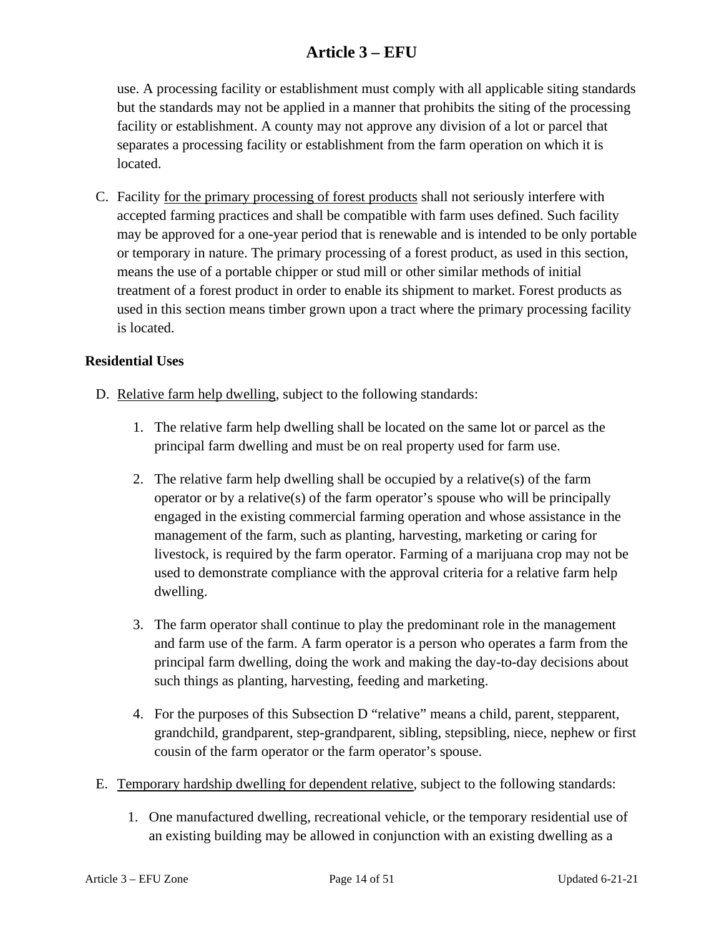use. A processing facility or establishment must comply with all applicable siting standards but the standards may not be applied in a manner that prohibits the siting of the processing facility or establishment. A county may not approve any division of a lot or parcel that separates a processing facility or establishment from the farm operation on which it is located.

C. Facility for the primary processing of forest products shall not seriously interfere with accepted farming practices and shall be compatible with farm uses defined. Such facility may be approved for a one-year period that is renewable and is intended to be only portable or temporary in nature. The primary processing of a forest product, as used in this section, means the use of a portable chipper or stud mill or other similar methods of initial treatment of a forest product in order to enable its shipment to market. Forest products as used in this section means timber grown upon a tract where the primary processing facility is located.

#### **Residential Uses**

- D. Relative farm help dwelling, subject to the following standards:
	- 1. The relative farm help dwelling shall be located on the same lot or parcel as the principal farm dwelling and must be on real property used for farm use.
	- 2. The relative farm help dwelling shall be occupied by a relative(s) of the farm operator or by a relative(s) of the farm operator's spouse who will be principally engaged in the existing commercial farming operation and whose assistance in the management of the farm, such as planting, harvesting, marketing or caring for livestock, is required by the farm operator. Farming of a marijuana crop may not be used to demonstrate compliance with the approval criteria for a relative farm help dwelling.
	- 3. The farm operator shall continue to play the predominant role in the management and farm use of the farm. A farm operator is a person who operates a farm from the principal farm dwelling, doing the work and making the day-to-day decisions about such things as planting, harvesting, feeding and marketing.
	- 4. For the purposes of this Subsection D "relative" means a child, parent, stepparent, grandchild, grandparent, step-grandparent, sibling, stepsibling, niece, nephew or first cousin of the farm operator or the farm operator's spouse.
- E. Temporary hardship dwelling for dependent relative, subject to the following standards:
	- 1. One manufactured dwelling, recreational vehicle, or the temporary residential use of an existing building may be allowed in conjunction with an existing dwelling as a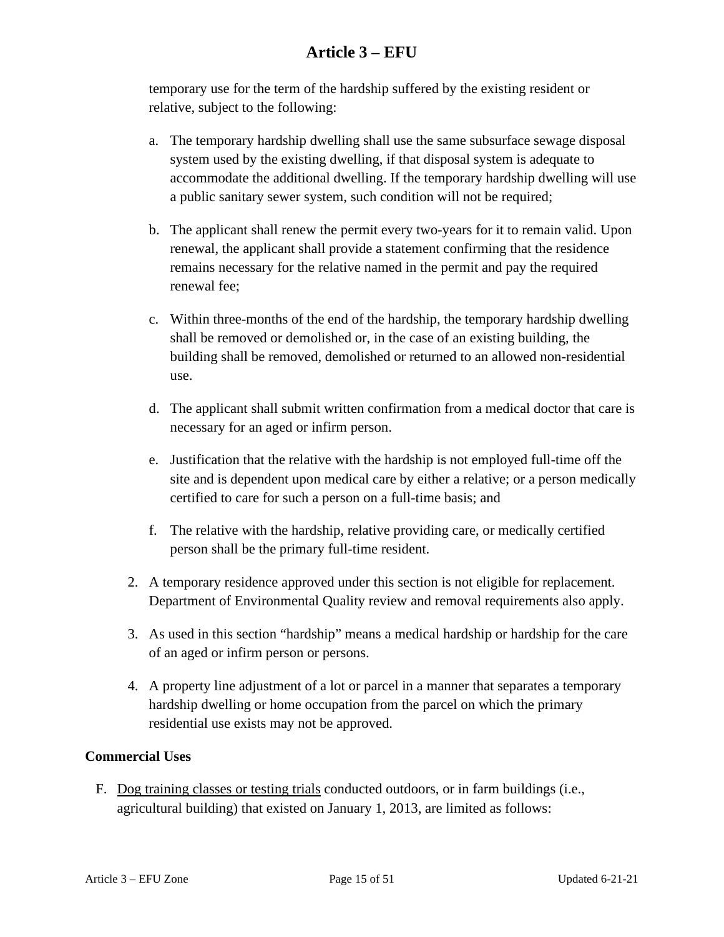temporary use for the term of the hardship suffered by the existing resident or relative, subject to the following:

- a. The temporary hardship dwelling shall use the same subsurface sewage disposal system used by the existing dwelling, if that disposal system is adequate to accommodate the additional dwelling. If the temporary hardship dwelling will use a public sanitary sewer system, such condition will not be required;
- b. The applicant shall renew the permit every two-years for it to remain valid. Upon renewal, the applicant shall provide a statement confirming that the residence remains necessary for the relative named in the permit and pay the required renewal fee;
- c. Within three-months of the end of the hardship, the temporary hardship dwelling shall be removed or demolished or, in the case of an existing building, the building shall be removed, demolished or returned to an allowed non-residential use.
- d. The applicant shall submit written confirmation from a medical doctor that care is necessary for an aged or infirm person.
- e. Justification that the relative with the hardship is not employed full-time off the site and is dependent upon medical care by either a relative; or a person medically certified to care for such a person on a full-time basis; and
- f. The relative with the hardship, relative providing care, or medically certified person shall be the primary full-time resident.
- 2. A temporary residence approved under this section is not eligible for replacement. Department of Environmental Quality review and removal requirements also apply.
- 3. As used in this section "hardship" means a medical hardship or hardship for the care of an aged or infirm person or persons.
- 4. A property line adjustment of a lot or parcel in a manner that separates a temporary hardship dwelling or home occupation from the parcel on which the primary residential use exists may not be approved.

#### **Commercial Uses**

F. Dog training classes or testing trials conducted outdoors, or in farm buildings (i.e., agricultural building) that existed on January 1, 2013, are limited as follows: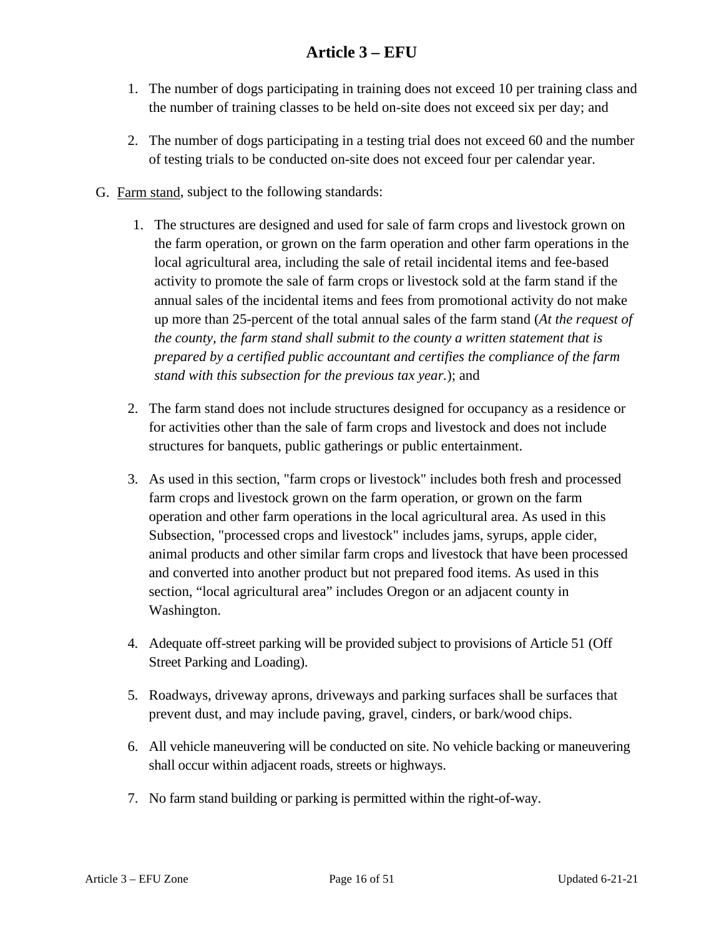- 1. The number of dogs participating in training does not exceed 10 per training class and the number of training classes to be held on-site does not exceed six per day; and
- 2. The number of dogs participating in a testing trial does not exceed 60 and the number of testing trials to be conducted on-site does not exceed four per calendar year.
- G. Farm stand, subject to the following standards:
	- 1. The structures are designed and used for sale of farm crops and livestock grown on the farm operation, or grown on the farm operation and other farm operations in the local agricultural area, including the sale of retail incidental items and fee-based activity to promote the sale of farm crops or livestock sold at the farm stand if the annual sales of the incidental items and fees from promotional activity do not make up more than 25-percent of the total annual sales of the farm stand (*At the request of the county, the farm stand shall submit to the county a written statement that is prepared by a certified public accountant and certifies the compliance of the farm stand with this subsection for the previous tax year.*); and
	- 2. The farm stand does not include structures designed for occupancy as a residence or for activities other than the sale of farm crops and livestock and does not include structures for banquets, public gatherings or public entertainment.
	- 3. As used in this section, "farm crops or livestock" includes both fresh and processed farm crops and livestock grown on the farm operation, or grown on the farm operation and other farm operations in the local agricultural area. As used in this Subsection, "processed crops and livestock" includes jams, syrups, apple cider, animal products and other similar farm crops and livestock that have been processed and converted into another product but not prepared food items. As used in this section, "local agricultural area" includes Oregon or an adjacent county in Washington.
	- 4. Adequate off-street parking will be provided subject to provisions of Article 51 (Off Street Parking and Loading).
	- 5. Roadways, driveway aprons, driveways and parking surfaces shall be surfaces that prevent dust, and may include paving, gravel, cinders, or bark/wood chips.
	- 6. All vehicle maneuvering will be conducted on site. No vehicle backing or maneuvering shall occur within adjacent roads, streets or highways.
	- 7. No farm stand building or parking is permitted within the right-of-way.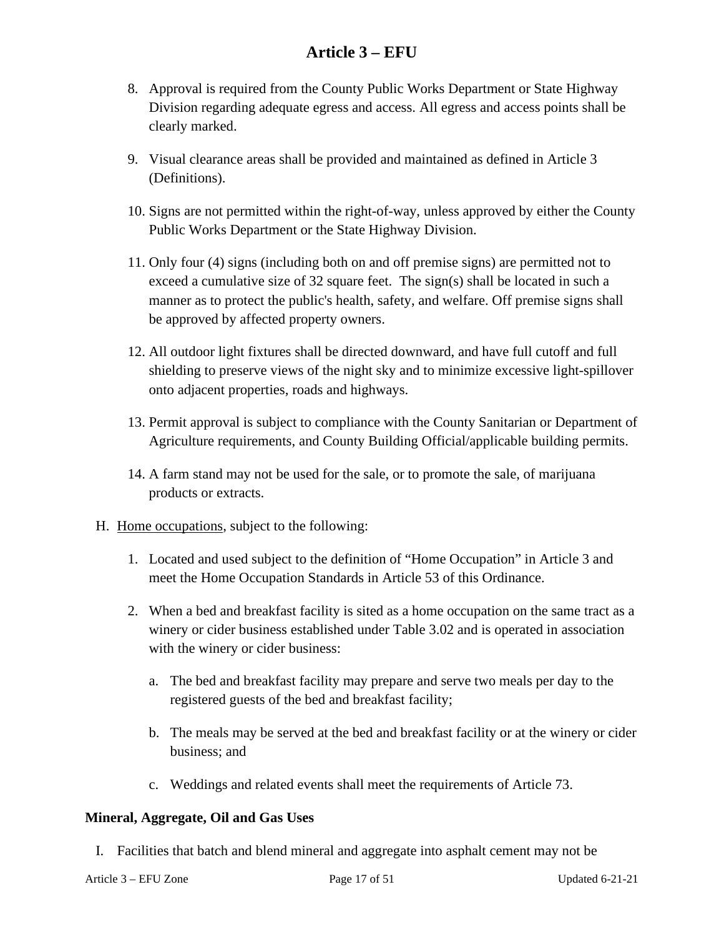- 8. Approval is required from the County Public Works Department or State Highway Division regarding adequate egress and access. All egress and access points shall be clearly marked.
- 9. Visual clearance areas shall be provided and maintained as defined in Article 3 (Definitions).
- 10. Signs are not permitted within the right-of-way, unless approved by either the County Public Works Department or the State Highway Division.
- 11. Only four (4) signs (including both on and off premise signs) are permitted not to exceed a cumulative size of 32 square feet. The sign(s) shall be located in such a manner as to protect the public's health, safety, and welfare. Off premise signs shall be approved by affected property owners.
- 12. All outdoor light fixtures shall be directed downward, and have full cutoff and full shielding to preserve views of the night sky and to minimize excessive light-spillover onto adjacent properties, roads and highways.
- 13. Permit approval is subject to compliance with the County Sanitarian or Department of Agriculture requirements, and County Building Official/applicable building permits.
- 14. A farm stand may not be used for the sale, or to promote the sale, of marijuana products or extracts.
- <span id="page-16-0"></span>H. Home occupations, subject to the following:
	- 1. Located and used subject to the definition of "Home Occupation" in Article 3 and meet the Home Occupation Standards in Article 53 of this Ordinance.
	- 2. When a bed and breakfast facility is sited as a home occupation on the same tract as a winery or cider business established under Table 3.02 and is operated in association with the winery or cider business:
		- a. The bed and breakfast facility may prepare and serve two meals per day to the registered guests of the bed and breakfast facility;
		- b. The meals may be served at the bed and breakfast facility or at the winery or cider business; and
		- c. Weddings and related events shall meet the requirements of Article 73.

#### **Mineral, Aggregate, Oil and Gas Uses**

I. Facilities that batch and blend mineral and aggregate into asphalt cement may not be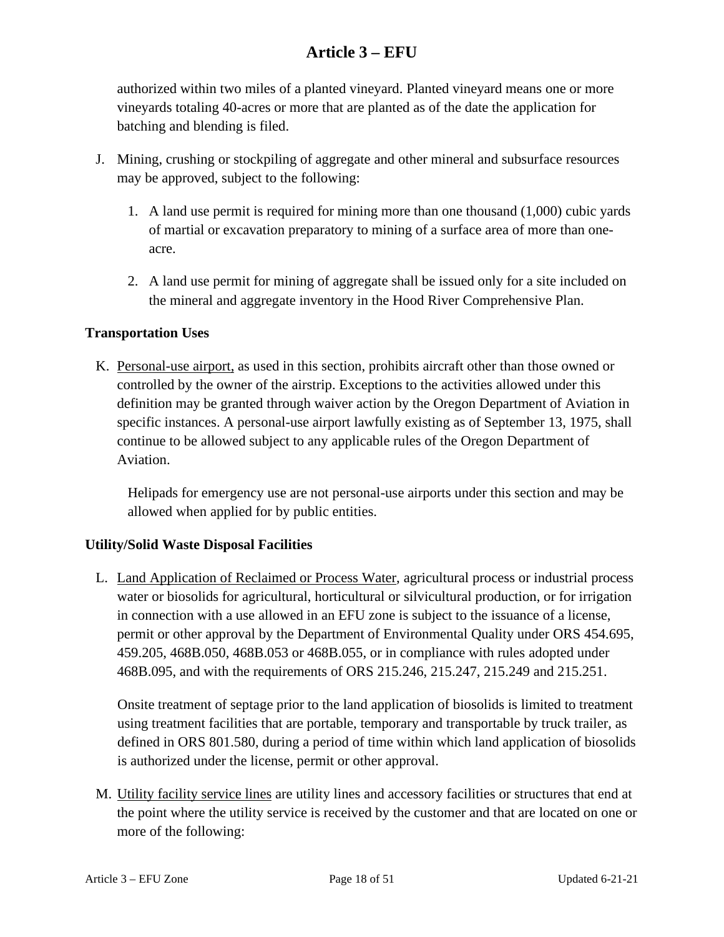authorized within two miles of a planted vineyard. Planted vineyard means one or more vineyards totaling 40-acres or more that are planted as of the date the application for batching and blending is filed.

- J. Mining, crushing or stockpiling of aggregate and other mineral and subsurface resources may be approved, subject to the following:
	- 1. A land use permit is required for mining more than one thousand (1,000) cubic yards of martial or excavation preparatory to mining of a surface area of more than oneacre.
	- 2. A land use permit for mining of aggregate shall be issued only for a site included on the mineral and aggregate inventory in the Hood River Comprehensive Plan.

#### **Transportation Uses**

K. Personal-use airport, as used in this section, prohibits aircraft other than those owned or controlled by the owner of the airstrip. Exceptions to the activities allowed under this definition may be granted through waiver action by the Oregon Department of Aviation in specific instances. A personal-use airport lawfully existing as of September 13, 1975, shall continue to be allowed subject to any applicable rules of the Oregon Department of Aviation.

Helipads for emergency use are not personal-use airports under this section and may be allowed when applied for by public entities.

#### **Utility/Solid Waste Disposal Facilities**

L. Land Application of Reclaimed or Process Water, agricultural process or industrial process water or biosolids for agricultural, horticultural or silvicultural production, or for irrigation in connection with a use allowed in an EFU zone is subject to the issuance of a license, permit or other approval by the Department of Environmental Quality under ORS 454.695, 459.205, 468B.050, 468B.053 or 468B.055, or in compliance with rules adopted under 468B.095, and with the requirements of ORS 215.246, 215.247, 215.249 and 215.251.

Onsite treatment of septage prior to the land application of biosolids is limited to treatment using treatment facilities that are portable, temporary and transportable by truck trailer, as defined in ORS 801.580, during a period of time within which land application of biosolids is authorized under the license, permit or other approval.

M. Utility facility service lines are utility lines and accessory facilities or structures that end at the point where the utility service is received by the customer and that are located on one or more of the following: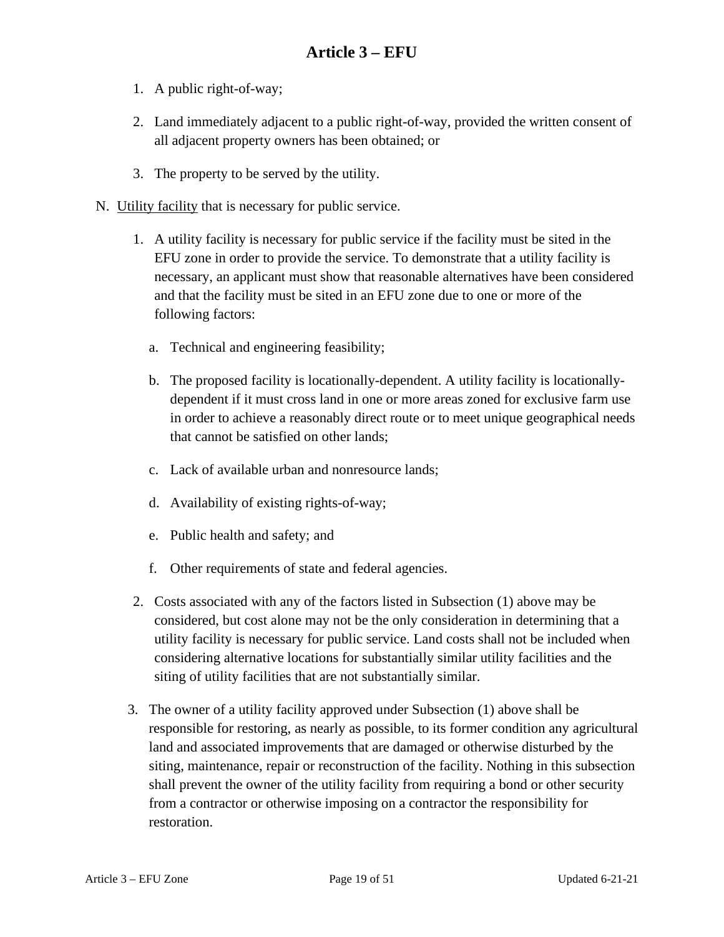- 1. A public right-of-way;
- 2. Land immediately adjacent to a public right-of-way, provided the written consent of all adjacent property owners has been obtained; or
- 3. The property to be served by the utility.
- N. Utility facility that is necessary for public service.
	- 1. A utility facility is necessary for public service if the facility must be sited in the EFU zone in order to provide the service. To demonstrate that a utility facility is necessary, an applicant must show that reasonable alternatives have been considered and that the facility must be sited in an EFU zone due to one or more of the following factors:
		- a. Technical and engineering feasibility;
		- b. The proposed facility is locationally-dependent. A utility facility is locationallydependent if it must cross land in one or more areas zoned for exclusive farm use in order to achieve a reasonably direct route or to meet unique geographical needs that cannot be satisfied on other lands;
		- c. Lack of available urban and nonresource lands;
		- d. Availability of existing rights-of-way;
		- e. Public health and safety; and
		- f. Other requirements of state and federal agencies.
	- 2. Costs associated with any of the factors listed in Subsection (1) above may be considered, but cost alone may not be the only consideration in determining that a utility facility is necessary for public service. Land costs shall not be included when considering alternative locations for substantially similar utility facilities and the siting of utility facilities that are not substantially similar.
	- 3. The owner of a utility facility approved under Subsection (1) above shall be responsible for restoring, as nearly as possible, to its former condition any agricultural land and associated improvements that are damaged or otherwise disturbed by the siting, maintenance, repair or reconstruction of the facility. Nothing in this subsection shall prevent the owner of the utility facility from requiring a bond or other security from a contractor or otherwise imposing on a contractor the responsibility for restoration.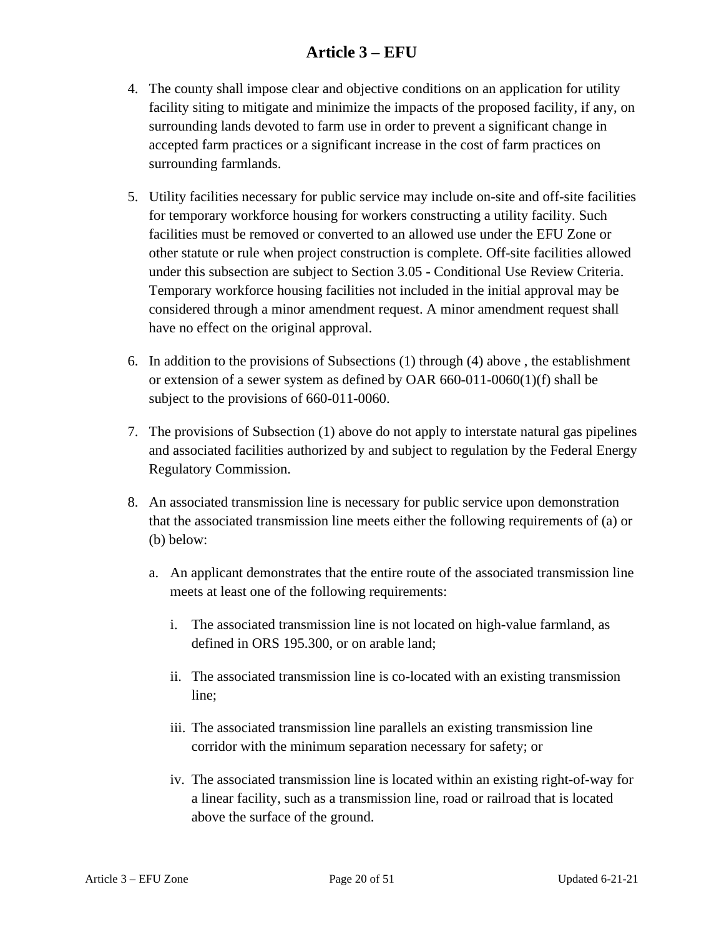- 4. The county shall impose clear and objective conditions on an application for utility facility siting to mitigate and minimize the impacts of the proposed facility, if any, on surrounding lands devoted to farm use in order to prevent a significant change in accepted farm practices or a significant increase in the cost of farm practices on surrounding farmlands.
- 5. Utility facilities necessary for public service may include on-site and off-site facilities for temporary workforce housing for workers constructing a utility facility. Such facilities must be removed or converted to an allowed use under the EFU Zone or other statute or rule when project construction is complete. Off-site facilities allowed under this subsection are subject to Section 3.05 **-** Conditional Use Review Criteria. Temporary workforce housing facilities not included in the initial approval may be considered through a minor amendment request. A minor amendment request shall have no effect on the original approval.
- 6. In addition to the provisions of Subsections (1) through (4) above , the establishment or extension of a sewer system as defined by OAR  $660-011-0060(1)(f)$  shall be subject to the provisions of 660-011-0060.
- 7. The provisions of Subsection (1) above do not apply to interstate natural gas pipelines and associated facilities authorized by and subject to regulation by the Federal Energy Regulatory Commission.
- 8. An associated transmission line is necessary for public service upon demonstration that the associated transmission line meets either the following requirements of (a) or (b) below:
	- a. An applicant demonstrates that the entire route of the associated transmission line meets at least one of the following requirements:
		- i. The associated transmission line is not located on high-value farmland, as defined in ORS 195.300, or on arable land;
		- ii. The associated transmission line is co-located with an existing transmission line;
		- iii. The associated transmission line parallels an existing transmission line corridor with the minimum separation necessary for safety; or
		- iv. The associated transmission line is located within an existing right-of-way for a linear facility, such as a transmission line, road or railroad that is located above the surface of the ground.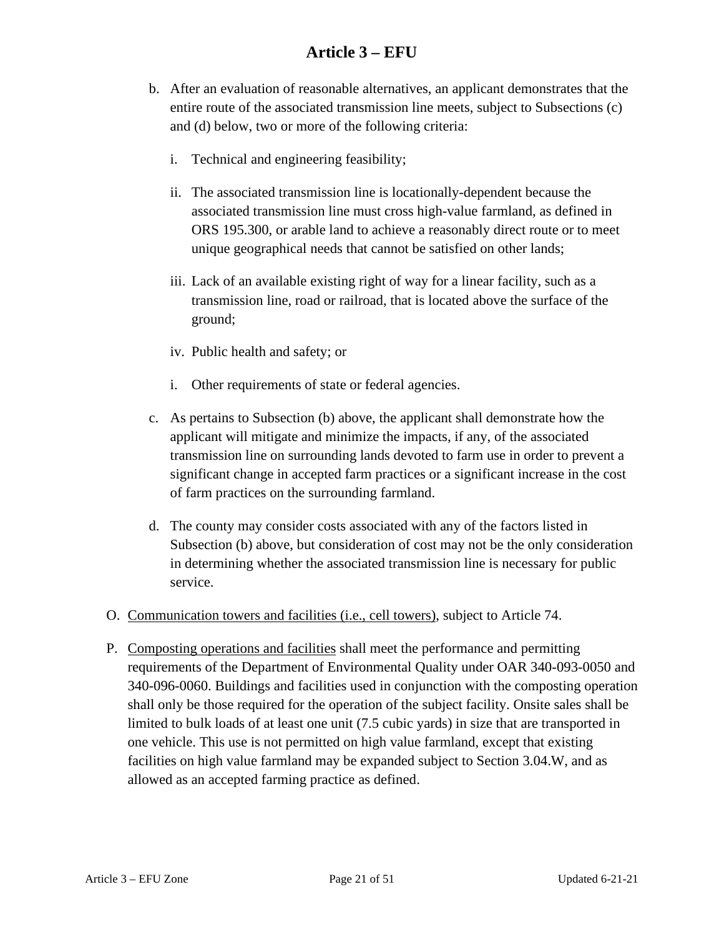- b. After an evaluation of reasonable alternatives, an applicant demonstrates that the entire route of the associated transmission line meets, subject to Subsections (c) and (d) below, two or more of the following criteria:
	- i. Technical and engineering feasibility;
	- ii. The associated transmission line is locationally-dependent because the associated transmission line must cross high-value farmland, as defined in ORS 195.300, or arable land to achieve a reasonably direct route or to meet unique geographical needs that cannot be satisfied on other lands;
	- iii. Lack of an available existing right of way for a linear facility, such as a transmission line, road or railroad, that is located above the surface of the ground;
	- iv. Public health and safety; or
	- i. Other requirements of state or federal agencies.
- c. As pertains to Subsection (b) above, the applicant shall demonstrate how the applicant will mitigate and minimize the impacts, if any, of the associated transmission line on surrounding lands devoted to farm use in order to prevent a significant change in accepted farm practices or a significant increase in the cost of farm practices on the surrounding farmland.
- d. The county may consider costs associated with any of the factors listed in Subsection (b) above, but consideration of cost may not be the only consideration in determining whether the associated transmission line is necessary for public service.
- O. Communication towers and facilities (i.e., cell towers), subject to Article 74.
- P. Composting operations and facilities shall meet the performance and permitting requirements of the Department of Environmental Quality under OAR 340-093-0050 and 340-096-0060. Buildings and facilities used in conjunction with the composting operation shall only be those required for the operation of the subject facility. Onsite sales shall be limited to bulk loads of at least one unit (7.5 cubic yards) in size that are transported in one vehicle. This use is not permitted on high value farmland, except that existing facilities on high value farmland may be expanded subject to Section 3.04.W, and as allowed as an accepted farming practice as defined.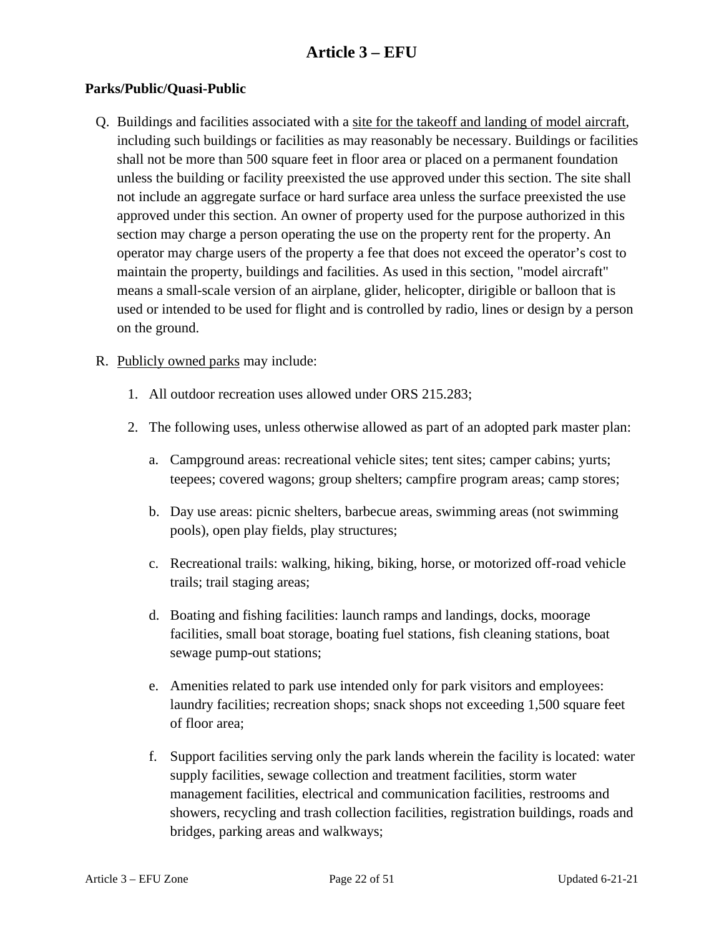#### **Parks/Public/Quasi-Public**

Q. Buildings and facilities associated with a site for the takeoff and landing of model aircraft, including such buildings or facilities as may reasonably be necessary. Buildings or facilities shall not be more than 500 square feet in floor area or placed on a permanent foundation unless the building or facility preexisted the use approved under this section. The site shall not include an aggregate surface or hard surface area unless the surface preexisted the use approved under this section. An owner of property used for the purpose authorized in this section may charge a person operating the use on the property rent for the property. An operator may charge users of the property a fee that does not exceed the operator's cost to maintain the property, buildings and facilities. As used in this section, "model aircraft" means a small-scale version of an airplane, glider, helicopter, dirigible or balloon that is used or intended to be used for flight and is controlled by radio, lines or design by a person on the ground.

#### R. Publicly owned parks may include:

- 1. All outdoor recreation uses allowed under ORS 215.283;
- 2. The following uses, unless otherwise allowed as part of an adopted park master plan:
	- a. Campground areas: recreational vehicle sites; tent sites; camper cabins; yurts; teepees; covered wagons; group shelters; campfire program areas; camp stores;
	- b. Day use areas: picnic shelters, barbecue areas, swimming areas (not swimming pools), open play fields, play structures;
	- c. Recreational trails: walking, hiking, biking, horse, or motorized off-road vehicle trails; trail staging areas;
	- d. Boating and fishing facilities: launch ramps and landings, docks, moorage facilities, small boat storage, boating fuel stations, fish cleaning stations, boat sewage pump-out stations;
	- e. Amenities related to park use intended only for park visitors and employees: laundry facilities; recreation shops; snack shops not exceeding 1,500 square feet of floor area;
	- f. Support facilities serving only the park lands wherein the facility is located: water supply facilities, sewage collection and treatment facilities, storm water management facilities, electrical and communication facilities, restrooms and showers, recycling and trash collection facilities, registration buildings, roads and bridges, parking areas and walkways;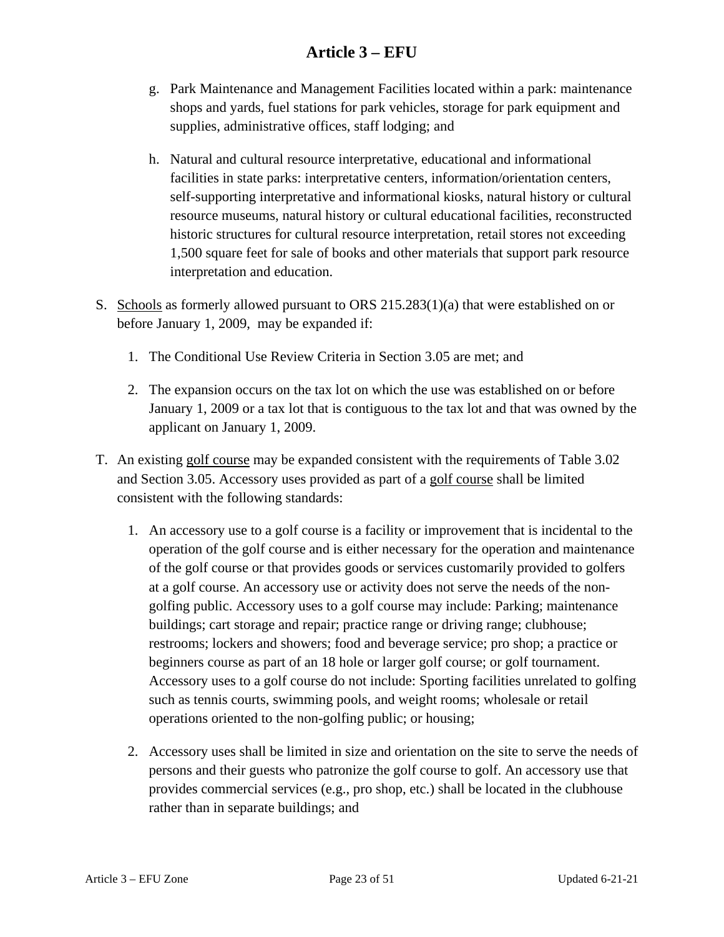- g. Park Maintenance and Management Facilities located within a park: maintenance shops and yards, fuel stations for park vehicles, storage for park equipment and supplies, administrative offices, staff lodging; and
- h. Natural and cultural resource interpretative, educational and informational facilities in state parks: interpretative centers, information/orientation centers, self-supporting interpretative and informational kiosks, natural history or cultural resource museums, natural history or cultural educational facilities, reconstructed historic structures for cultural resource interpretation, retail stores not exceeding 1,500 square feet for sale of books and other materials that support park resource interpretation and education.
- S. Schools as formerly allowed pursuant to ORS 215.283(1)(a) that were established on or before January 1, 2009, may be expanded if:
	- 1. The Conditional Use Review Criteria in Section 3.05 are met; and
	- 2. The expansion occurs on the tax lot on which the use was established on or before January 1, 2009 or a tax lot that is contiguous to the tax lot and that was owned by the applicant on January 1, 2009.
- T. An existing golf course may be expanded consistent with the requirements of Table 3.02 and Section 3.05. Accessory uses provided as part of a golf course shall be limited consistent with the following standards:
	- 1. An accessory use to a golf course is a facility or improvement that is incidental to the operation of the golf course and is either necessary for the operation and maintenance of the golf course or that provides goods or services customarily provided to golfers at a golf course. An accessory use or activity does not serve the needs of the nongolfing public. Accessory uses to a golf course may include: Parking; maintenance buildings; cart storage and repair; practice range or driving range; clubhouse; restrooms; lockers and showers; food and beverage service; pro shop; a practice or beginners course as part of an 18 hole or larger golf course; or golf tournament. Accessory uses to a golf course do not include: Sporting facilities unrelated to golfing such as tennis courts, swimming pools, and weight rooms; wholesale or retail operations oriented to the non-golfing public; or housing;
	- 2. Accessory uses shall be limited in size and orientation on the site to serve the needs of persons and their guests who patronize the golf course to golf. An accessory use that provides commercial services (e.g., pro shop, etc.) shall be located in the clubhouse rather than in separate buildings; and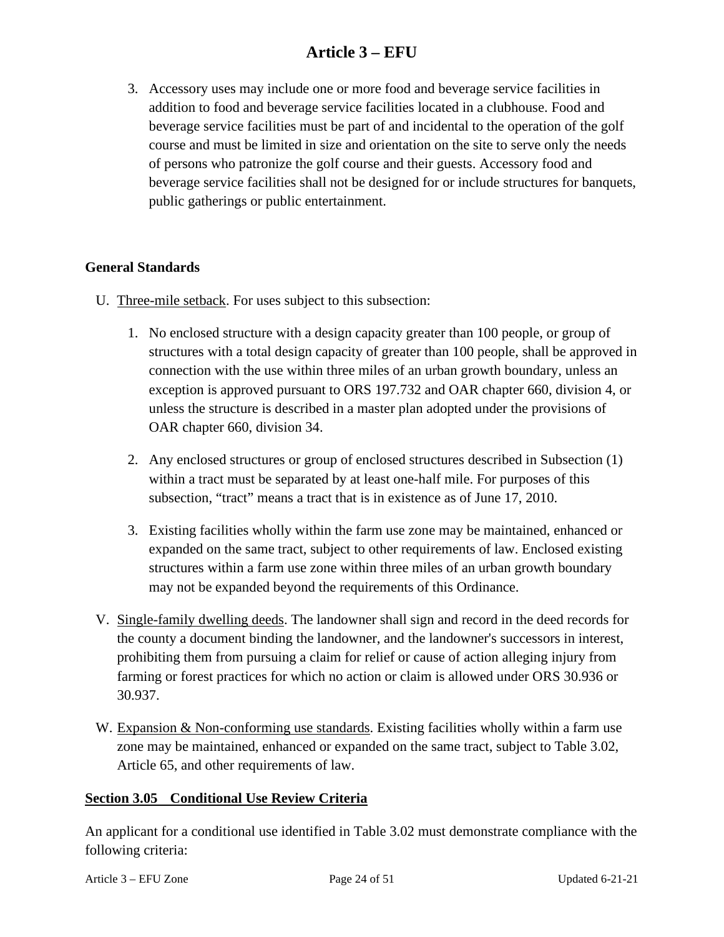3. Accessory uses may include one or more food and beverage service facilities in addition to food and beverage service facilities located in a clubhouse. Food and beverage service facilities must be part of and incidental to the operation of the golf course and must be limited in size and orientation on the site to serve only the needs of persons who patronize the golf course and their guests. Accessory food and beverage service facilities shall not be designed for or include structures for banquets, public gatherings or public entertainment.

#### **General Standards**

- U. Three-mile setback. For uses subject to this subsection:
	- 1. No enclosed structure with a design capacity greater than 100 people, or group of structures with a total design capacity of greater than 100 people, shall be approved in connection with the use within three miles of an urban growth boundary, unless an exception is approved pursuant to ORS 197.732 and OAR chapter 660, division 4, or unless the structure is described in a master plan adopted under the provisions of OAR chapter 660, division 34.
	- 2. Any enclosed structures or group of enclosed structures described in Subsection (1) within a tract must be separated by at least one-half mile. For purposes of this subsection, "tract" means a tract that is in existence as of June 17, 2010.
	- 3. Existing facilities wholly within the farm use zone may be maintained, enhanced or expanded on the same tract, subject to other requirements of law. Enclosed existing structures within a farm use zone within three miles of an urban growth boundary may not be expanded beyond the requirements of this Ordinance.
- V. Single-family dwelling deeds. The landowner shall sign and record in the deed records for the county a document binding the landowner, and the landowner's successors in interest, prohibiting them from pursuing a claim for relief or cause of action alleging injury from farming or forest practices for which no action or claim is allowed under ORS 30.936 or 30.937.
- <span id="page-23-0"></span>W. Expansion & Non-conforming use standards. Existing facilities wholly within a farm use zone may be maintained, enhanced or expanded on the same tract, subject to Table 3.02, Article 65, and other requirements of law.

#### **Section 3.05 Conditional Use Review Criteria**

An applicant for a conditional use identified in Table 3.02 must demonstrate compliance with the following criteria: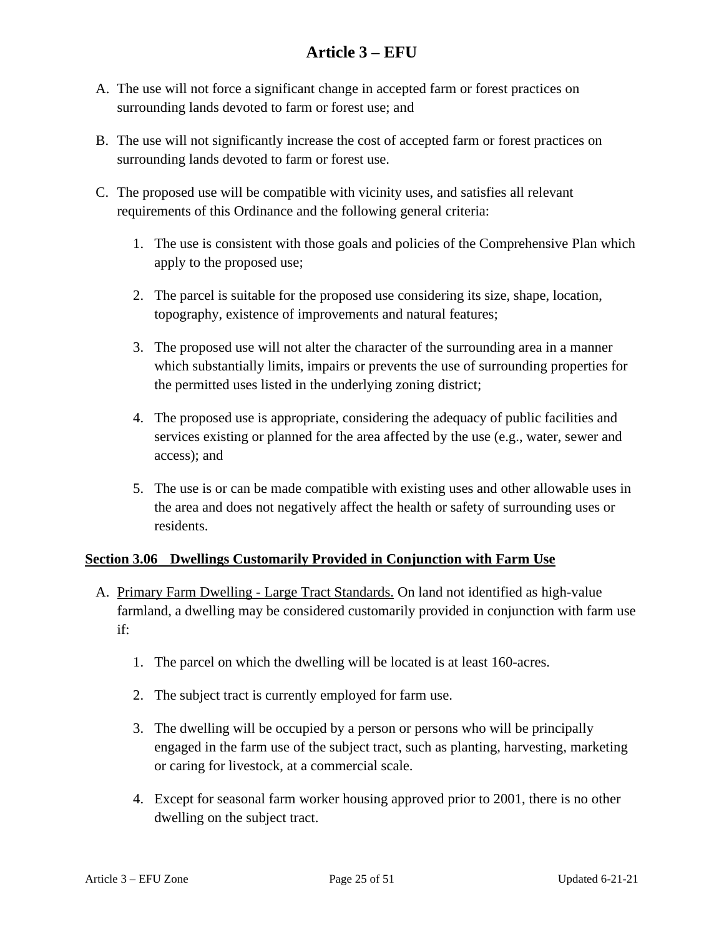- A. The use will not force a significant change in accepted farm or forest practices on surrounding lands devoted to farm or forest use; and
- B. The use will not significantly increase the cost of accepted farm or forest practices on surrounding lands devoted to farm or forest use.
- C. The proposed use will be compatible with vicinity uses, and satisfies all relevant requirements of this Ordinance and the following general criteria:
	- 1. The use is consistent with those goals and policies of the Comprehensive Plan which apply to the proposed use;
	- 2. The parcel is suitable for the proposed use considering its size, shape, location, topography, existence of improvements and natural features;
	- 3. The proposed use will not alter the character of the surrounding area in a manner which substantially limits, impairs or prevents the use of surrounding properties for the permitted uses listed in the underlying zoning district;
	- 4. The proposed use is appropriate, considering the adequacy of public facilities and services existing or planned for the area affected by the use (e.g., water, sewer and access); and
	- 5. The use is or can be made compatible with existing uses and other allowable uses in the area and does not negatively affect the health or safety of surrounding uses or residents.

#### <span id="page-24-0"></span>**Section 3.06 Dwellings Customarily Provided in Conjunction with Farm Use**

- A. Primary Farm Dwelling Large Tract Standards. On land not identified as high-value farmland, a dwelling may be considered customarily provided in conjunction with farm use if:
	- 1. The parcel on which the dwelling will be located is at least 160-acres.
	- 2. The subject tract is currently employed for farm use.
	- 3. The dwelling will be occupied by a person or persons who will be principally engaged in the farm use of the subject tract, such as planting, harvesting, marketing or caring for livestock, at a commercial scale.
	- 4. Except for seasonal farm worker housing approved prior to 2001, there is no other dwelling on the subject tract.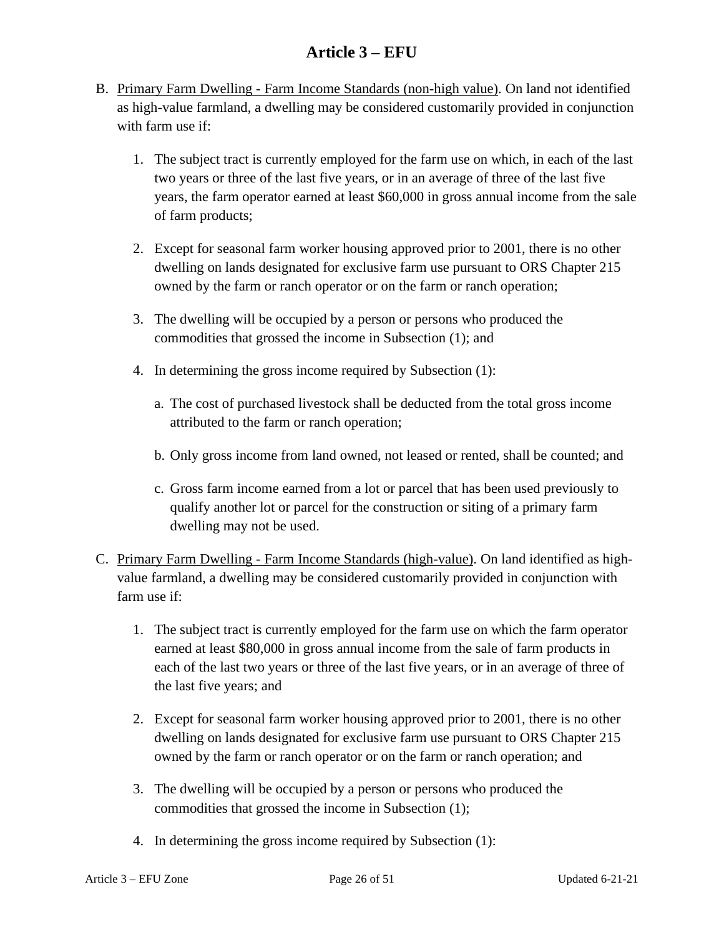- B. Primary Farm Dwelling Farm Income Standards (non-high value). On land not identified as high-value farmland, a dwelling may be considered customarily provided in conjunction with farm use if:
	- 1. The subject tract is currently employed for the farm use on which, in each of the last two years or three of the last five years, or in an average of three of the last five years, the farm operator earned at least \$60,000 in gross annual income from the sale of farm products;
	- 2. Except for seasonal farm worker housing approved prior to 2001, there is no other dwelling on lands designated for exclusive farm use pursuant to ORS Chapter 215 owned by the farm or ranch operator or on the farm or ranch operation;
	- 3. The dwelling will be occupied by a person or persons who produced the commodities that grossed the income in Subsection (1); and
	- 4. In determining the gross income required by Subsection (1):
		- a. The cost of purchased livestock shall be deducted from the total gross income attributed to the farm or ranch operation;
		- b. Only gross income from land owned, not leased or rented, shall be counted; and
		- c. Gross farm income earned from a lot or parcel that has been used previously to qualify another lot or parcel for the construction or siting of a primary farm dwelling may not be used.
- C. Primary Farm Dwelling Farm Income Standards (high-value). On land identified as highvalue farmland, a dwelling may be considered customarily provided in conjunction with farm use if:
	- 1. The subject tract is currently employed for the farm use on which the farm operator earned at least \$80,000 in gross annual income from the sale of farm products in each of the last two years or three of the last five years, or in an average of three of the last five years; and
	- 2. Except for seasonal farm worker housing approved prior to 2001, there is no other dwelling on lands designated for exclusive farm use pursuant to ORS Chapter 215 owned by the farm or ranch operator or on the farm or ranch operation; and
	- 3. The dwelling will be occupied by a person or persons who produced the commodities that grossed the income in Subsection (1);
	- 4. In determining the gross income required by Subsection (1):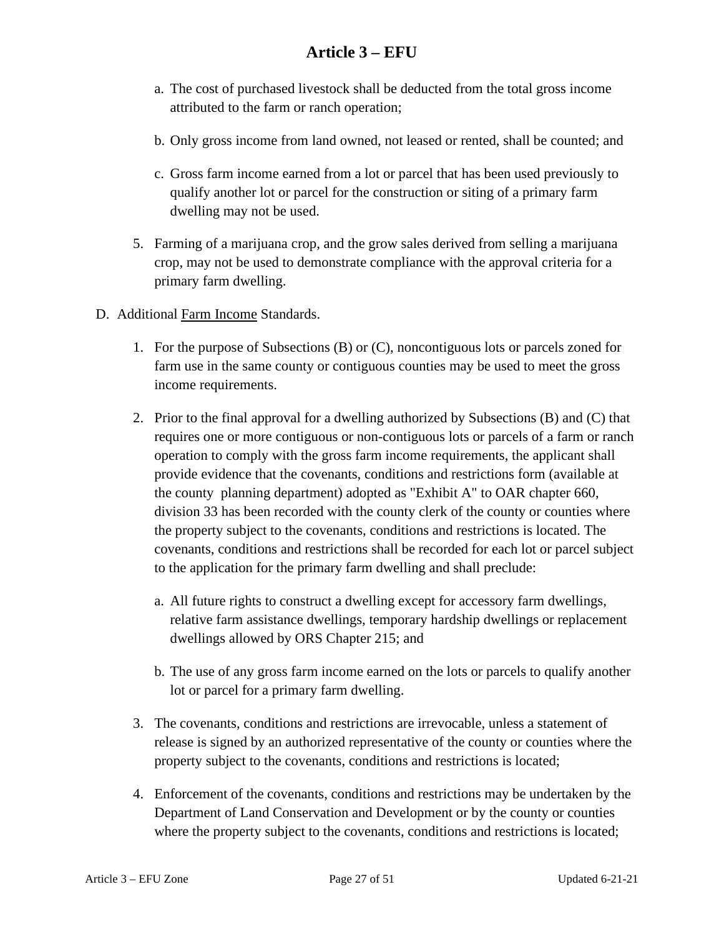- a. The cost of purchased livestock shall be deducted from the total gross income attributed to the farm or ranch operation;
- b. Only gross income from land owned, not leased or rented, shall be counted; and
- c. Gross farm income earned from a lot or parcel that has been used previously to qualify another lot or parcel for the construction or siting of a primary farm dwelling may not be used.
- 5. Farming of a marijuana crop, and the grow sales derived from selling a marijuana crop, may not be used to demonstrate compliance with the approval criteria for a primary farm dwelling.
- D. Additional Farm Income Standards.
	- 1. For the purpose of Subsections (B) or (C), noncontiguous lots or parcels zoned for farm use in the same county or contiguous counties may be used to meet the gross income requirements.
	- 2. Prior to the final approval for a dwelling authorized by Subsections (B) and (C) that requires one or more contiguous or non-contiguous lots or parcels of a farm or ranch operation to comply with the gross farm income requirements, the applicant shall provide evidence that the covenants, conditions and restrictions form (available at the county planning department) adopted as "Exhibit A" to OAR chapter 660, division 33 has been recorded with the county clerk of the county or counties where the property subject to the covenants, conditions and restrictions is located. The covenants, conditions and restrictions shall be recorded for each lot or parcel subject to the application for the primary farm dwelling and shall preclude:
		- a. All future rights to construct a dwelling except for accessory farm dwellings, relative farm assistance dwellings, temporary hardship dwellings or replacement dwellings allowed by ORS Chapter 215; and
		- b. The use of any gross farm income earned on the lots or parcels to qualify another lot or parcel for a primary farm dwelling.
	- 3. The covenants, conditions and restrictions are irrevocable, unless a statement of release is signed by an authorized representative of the county or counties where the property subject to the covenants, conditions and restrictions is located;
	- 4. Enforcement of the covenants, conditions and restrictions may be undertaken by the Department of Land Conservation and Development or by the county or counties where the property subject to the covenants, conditions and restrictions is located;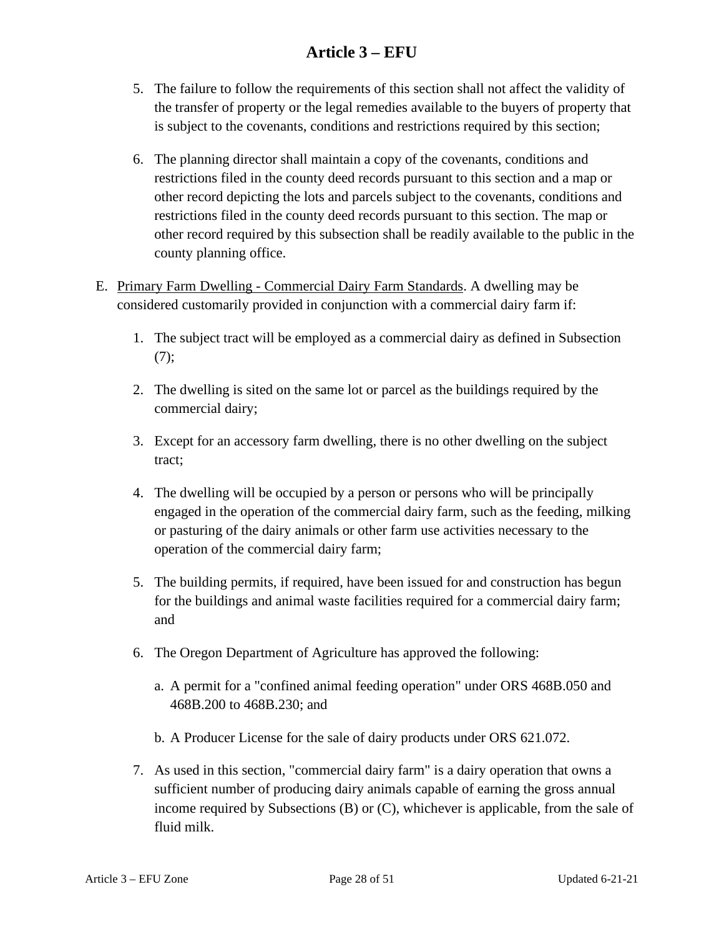- 5. The failure to follow the requirements of this section shall not affect the validity of the transfer of property or the legal remedies available to the buyers of property that is subject to the covenants, conditions and restrictions required by this section;
- 6. The planning director shall maintain a copy of the covenants, conditions and restrictions filed in the county deed records pursuant to this section and a map or other record depicting the lots and parcels subject to the covenants, conditions and restrictions filed in the county deed records pursuant to this section. The map or other record required by this subsection shall be readily available to the public in the county planning office.
- <span id="page-27-0"></span>E. Primary Farm Dwelling - Commercial Dairy Farm Standards. A dwelling may be considered customarily provided in conjunction with a commercial dairy farm if:
	- 1. The subject tract will be employed as a commercial dairy as defined in Subsection [\(7\)](#page-27-0);
	- 2. The dwelling is sited on the same lot or parcel as the buildings required by the commercial dairy;
	- 3. Except for an accessory farm dwelling, there is no other dwelling on the subject tract;
	- 4. The dwelling will be occupied by a person or persons who will be principally engaged in the operation of the commercial dairy farm, such as the feeding, milking or pasturing of the dairy animals or other farm use activities necessary to the operation of the commercial dairy farm;
	- 5. The building permits, if required, have been issued for and construction has begun for the buildings and animal waste facilities required for a commercial dairy farm; and
	- 6. The Oregon Department of Agriculture has approved the following:
		- a. A permit for a "confined animal feeding operation" under ORS 468B.050 and 468B.200 to 468B.230; and
		- b. A Producer License for the sale of dairy products under ORS 621.072.
	- 7. As used in this section, "commercial dairy farm" is a dairy operation that owns a sufficient number of producing dairy animals capable of earning the gross annual income required by Subsections (B) or (C), whichever is applicable, from the sale of fluid milk.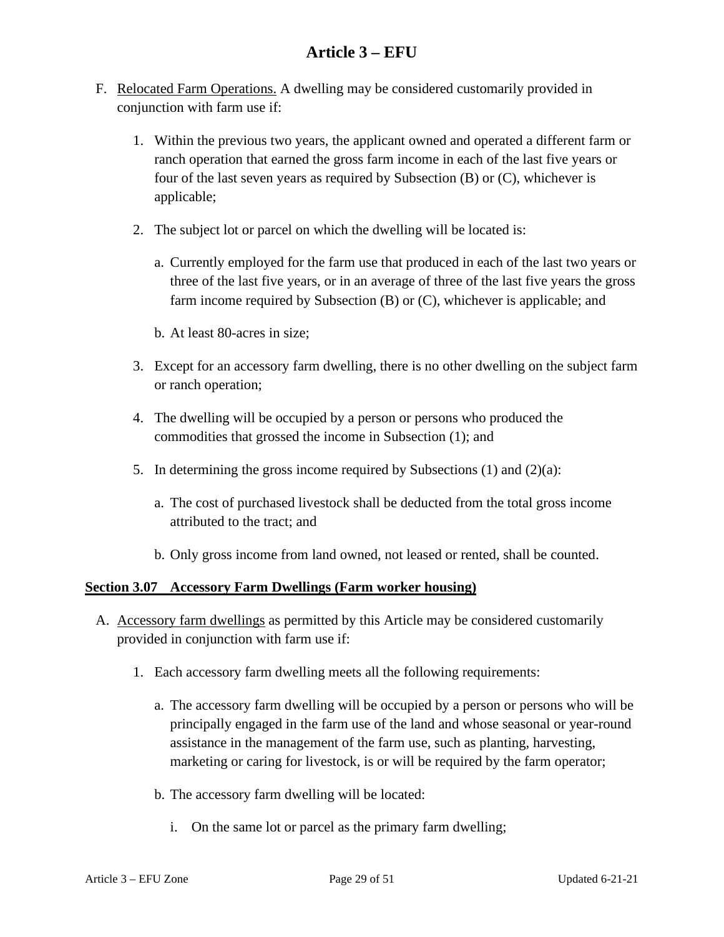- F. Relocated Farm Operations. A dwelling may be considered customarily provided in conjunction with farm use if:
	- 1. Within the previous two years, the applicant owned and operated a different farm or ranch operation that earned the gross farm income in each of the last five years or four of the last seven years as required by Subsection (B) or (C), whichever is applicable;
	- 2. The subject lot or parcel on which the dwelling will be located is:
		- a. Currently employed for the farm use that produced in each of the last two years or three of the last five years, or in an average of three of the last five years the gross farm income required by Subsection (B) or (C), whichever is applicable; and
		- b. At least 80-acres in size;
	- 3. Except for an accessory farm dwelling, there is no other dwelling on the subject farm or ranch operation;
	- 4. The dwelling will be occupied by a person or persons who produced the commodities that grossed the income in Subsection (1); and
	- 5. In determining the gross income required by Subsections (1) and (2)(a):
		- a. The cost of purchased livestock shall be deducted from the total gross income attributed to the tract; and
		- b. Only gross income from land owned, not leased or rented, shall be counted.

#### <span id="page-28-0"></span>**Section 3.07 Accessory Farm Dwellings (Farm worker housing)**

- A. Accessory farm dwellings as permitted by this Article may be considered customarily provided in conjunction with farm use if:
	- 1. Each accessory farm dwelling meets all the following requirements:
		- a. The accessory farm dwelling will be occupied by a person or persons who will be principally engaged in the farm use of the land and whose seasonal or year-round assistance in the management of the farm use, such as planting, harvesting, marketing or caring for livestock, is or will be required by the farm operator;
		- b. The accessory farm dwelling will be located:
			- i. On the same lot or parcel as the primary farm dwelling;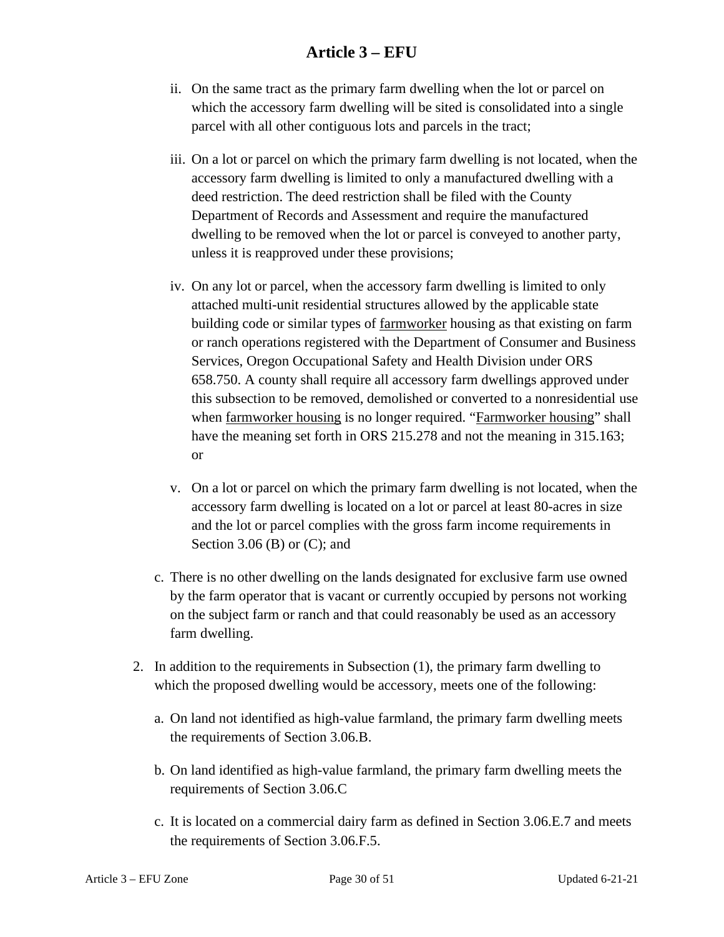- ii. On the same tract as the primary farm dwelling when the lot or parcel on which the accessory farm dwelling will be sited is consolidated into a single parcel with all other contiguous lots and parcels in the tract;
- iii. On a lot or parcel on which the primary farm dwelling is not located, when the accessory farm dwelling is limited to only a manufactured dwelling with a deed restriction. The deed restriction shall be filed with the County Department of Records and Assessment and require the manufactured dwelling to be removed when the lot or parcel is conveyed to another party, unless it is reapproved under these provisions;
- iv. On any lot or parcel, when the accessory farm dwelling is limited to only attached multi-unit residential structures allowed by the applicable state building code or similar types of farmworker housing as that existing on farm or ranch operations registered with the Department of Consumer and Business Services, Oregon Occupational Safety and Health Division under ORS 658.750. A county shall require all accessory farm dwellings approved under this subsection to be removed, demolished or converted to a nonresidential use when farmworker housing is no longer required. "Farmworker housing" shall have the meaning set forth in ORS 215.278 and not the meaning in 315.163; or
- v. On a lot or parcel on which the primary farm dwelling is not located, when the accessory farm dwelling is located on a lot or parcel at least 80-acres in size and the lot or parcel complies with the gross farm income requirements in Section 3.06 (B) or  $(C)$ ; and
- c. There is no other dwelling on the lands designated for exclusive farm use owned by the farm operator that is vacant or currently occupied by persons not working on the subject farm or ranch and that could reasonably be used as an accessory farm dwelling.
- 2. In addition to the requirements in Subsection (1), the primary farm dwelling to which the proposed dwelling would be accessory, meets one of the following:
	- a. On land not identified as high-value farmland, the primary farm dwelling meets the requirements of Section 3.06.B.
	- b. On land identified as high-value farmland, the primary farm dwelling meets the requirements of Section 3.06.C
	- c. It is located on a commercial dairy farm as defined in Section 3.06.E.7 and meets the requirements of Section 3.06.F.5.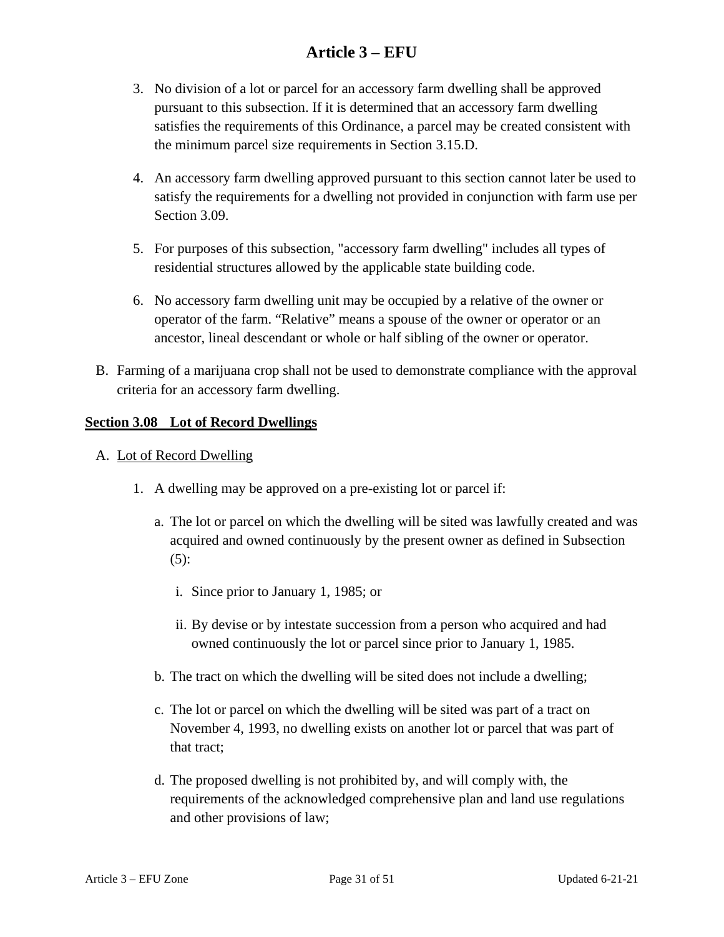- 3. No division of a lot or parcel for an accessory farm dwelling shall be approved pursuant to this subsection. If it is determined that an accessory farm dwelling satisfies the requirements of this Ordinance, a parcel may be created consistent with the minimum parcel size requirements in Section 3.15.D.
- 4. An accessory farm dwelling approved pursuant to this section cannot later be used to satisfy the requirements for a dwelling not provided in conjunction with farm use per Section 3.09.
- 5. For purposes of this subsection, "accessory farm dwelling" includes all types of residential structures allowed by the applicable state building code.
- 6. No accessory farm dwelling unit may be occupied by a relative of the owner or operator of the farm. "Relative" means a spouse of the owner or operator or an ancestor, lineal descendant or whole or half sibling of the owner or operator.
- B. Farming of a marijuana crop shall not be used to demonstrate compliance with the approval criteria for an accessory farm dwelling.

#### <span id="page-30-0"></span>**Section 3.08 Lot of Record Dwellings**

- A. Lot of Record Dwelling
	- 1. A dwelling may be approved on a pre-existing lot or parcel if:
		- a. The lot or parcel on which the dwelling will be sited was lawfully created and was acquired and owned continuously by the present owner as defined in Subsection (5):
			- i. Since prior to January 1, 1985; or
			- ii. By devise or by intestate succession from a person who acquired and had owned continuously the lot or parcel since prior to January 1, 1985.
		- b. The tract on which the dwelling will be sited does not include a dwelling;
		- c. The lot or parcel on which the dwelling will be sited was part of a tract on November 4, 1993, no dwelling exists on another lot or parcel that was part of that tract;
		- d. The proposed dwelling is not prohibited by, and will comply with, the requirements of the acknowledged comprehensive plan and land use regulations and other provisions of law;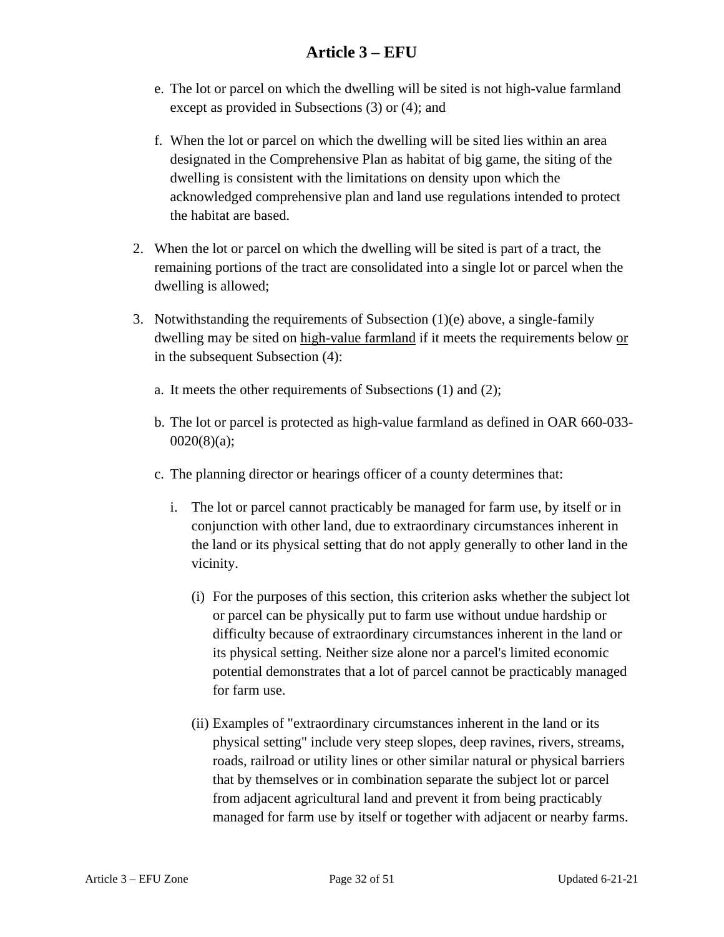- e. The lot or parcel on which the dwelling will be sited is not high-value farmland except as provided in Subsections (3) or (4); and
- f. When the lot or parcel on which the dwelling will be sited lies within an area designated in the Comprehensive Plan as habitat of big game, the siting of the dwelling is consistent with the limitations on density upon which the acknowledged comprehensive plan and land use regulations intended to protect the habitat are based.
- 2. When the lot or parcel on which the dwelling will be sited is part of a tract, the remaining portions of the tract are consolidated into a single lot or parcel when the dwelling is allowed;
- 3. Notwithstanding the requirements of Subsection  $(1)(e)$  above, a single-family dwelling may be sited on high-value farmland if it meets the requirements below or in the subsequent Subsection (4):
	- a. It meets the other requirements of Subsections (1) and (2);
	- b. The lot or parcel is protected as high-value farmland as defined in OAR 660-033- 0020(8)(a);
	- c. The planning director or hearings officer of a county determines that:
		- i. The lot or parcel cannot practicably be managed for farm use, by itself or in conjunction with other land, due to extraordinary circumstances inherent in the land or its physical setting that do not apply generally to other land in the vicinity.
			- (i) For the purposes of this section, this criterion asks whether the subject lot or parcel can be physically put to farm use without undue hardship or difficulty because of extraordinary circumstances inherent in the land or its physical setting. Neither size alone nor a parcel's limited economic potential demonstrates that a lot of parcel cannot be practicably managed for farm use.
			- (ii) Examples of "extraordinary circumstances inherent in the land or its physical setting" include very steep slopes, deep ravines, rivers, streams, roads, railroad or utility lines or other similar natural or physical barriers that by themselves or in combination separate the subject lot or parcel from adjacent agricultural land and prevent it from being practicably managed for farm use by itself or together with adjacent or nearby farms.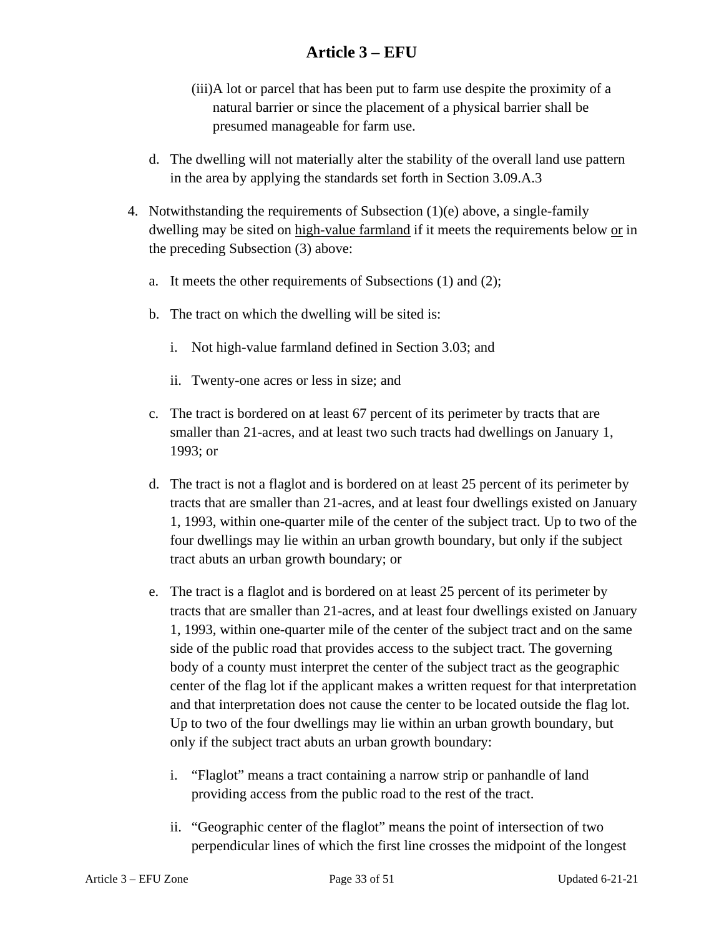- (iii)A lot or parcel that has been put to farm use despite the proximity of a natural barrier or since the placement of a physical barrier shall be presumed manageable for farm use.
- d. The dwelling will not materially alter the stability of the overall land use pattern in the area by applying the standards set forth in Section 3.09.A.3
- 4. Notwithstanding the requirements of Subsection (1)(e) above, a single-family dwelling may be sited on high-value farmland if it meets the requirements below or in the preceding Subsection (3) above:
	- a. It meets the other requirements of Subsections (1) and (2);
	- b. The tract on which the dwelling will be sited is:
		- i. Not high-value farmland defined in Section 3.03; and
		- ii. Twenty-one acres or less in size; and
	- c. The tract is bordered on at least 67 percent of its perimeter by tracts that are smaller than 21-acres, and at least two such tracts had dwellings on January 1, 1993; or
	- d. The tract is not a flaglot and is bordered on at least 25 percent of its perimeter by tracts that are smaller than 21-acres, and at least four dwellings existed on January 1, 1993, within one-quarter mile of the center of the subject tract. Up to two of the four dwellings may lie within an urban growth boundary, but only if the subject tract abuts an urban growth boundary; or
	- e. The tract is a flaglot and is bordered on at least 25 percent of its perimeter by tracts that are smaller than 21-acres, and at least four dwellings existed on January 1, 1993, within one-quarter mile of the center of the subject tract and on the same side of the public road that provides access to the subject tract. The governing body of a county must interpret the center of the subject tract as the geographic center of the flag lot if the applicant makes a written request for that interpretation and that interpretation does not cause the center to be located outside the flag lot. Up to two of the four dwellings may lie within an urban growth boundary, but only if the subject tract abuts an urban growth boundary:
		- i. "Flaglot" means a tract containing a narrow strip or panhandle of land providing access from the public road to the rest of the tract.
		- ii. "Geographic center of the flaglot" means the point of intersection of two perpendicular lines of which the first line crosses the midpoint of the longest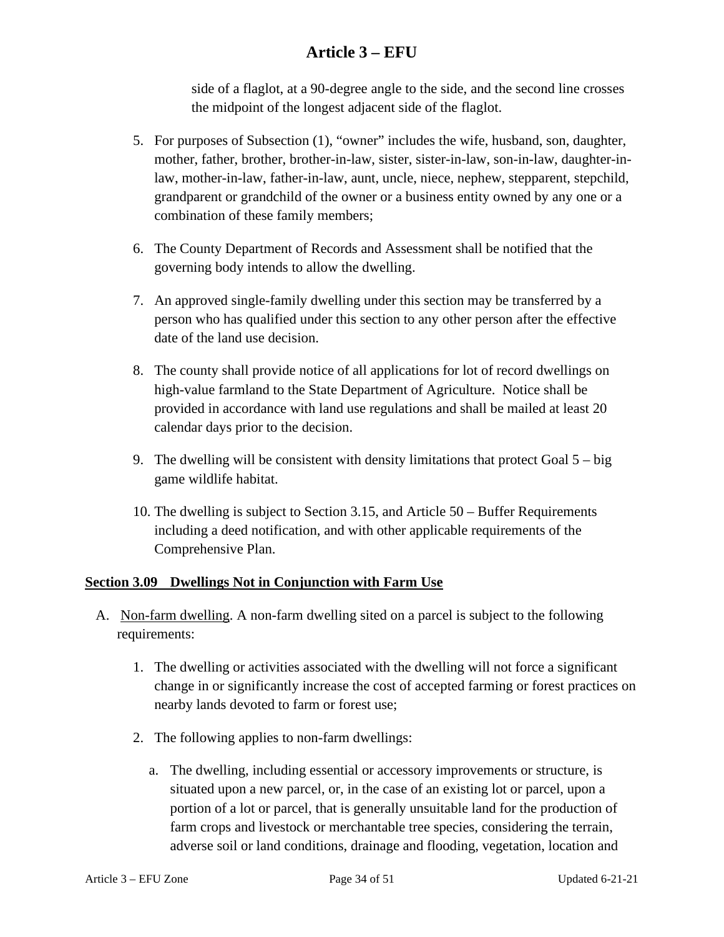side of a flaglot, at a 90-degree angle to the side, and the second line crosses the midpoint of the longest adjacent side of the flaglot.

- 5. For purposes of Subsection (1), "owner" includes the wife, husband, son, daughter, mother, father, brother, brother-in-law, sister, sister-in-law, son-in-law, daughter-inlaw, mother-in-law, father-in-law, aunt, uncle, niece, nephew, stepparent, stepchild, grandparent or grandchild of the owner or a business entity owned by any one or a combination of these family members;
- 6. The County Department of Records and Assessment shall be notified that the governing body intends to allow the dwelling.
- 7. An approved single-family dwelling under this section may be transferred by a person who has qualified under this section to any other person after the effective date of the land use decision.
- 8. The county shall provide notice of all applications for lot of record dwellings on high-value farmland to the State Department of Agriculture. Notice shall be provided in accordance with land use regulations and shall be mailed at least 20 calendar days prior to the decision.
- 9. The dwelling will be consistent with density limitations that protect Goal  $5 big$ game wildlife habitat.
- 10. The dwelling is subject to Section 3.15, and Article 50 Buffer Requirements including a deed notification, and with other applicable requirements of the Comprehensive Plan.

#### <span id="page-33-0"></span>**Section 3.09 Dwellings Not in Conjunction with Farm Use**

- A. Non-farm dwelling. A non-farm dwelling sited on a parcel is subject to the following requirements:
	- 1. The dwelling or activities associated with the dwelling will not force a significant change in or significantly increase the cost of accepted farming or forest practices on nearby lands devoted to farm or forest use;
	- 2. The following applies to non-farm dwellings:
		- a. The dwelling, including essential or accessory improvements or structure, is situated upon a new parcel, or, in the case of an existing lot or parcel, upon a portion of a lot or parcel, that is generally unsuitable land for the production of farm crops and livestock or merchantable tree species, considering the terrain, adverse soil or land conditions, drainage and flooding, vegetation, location and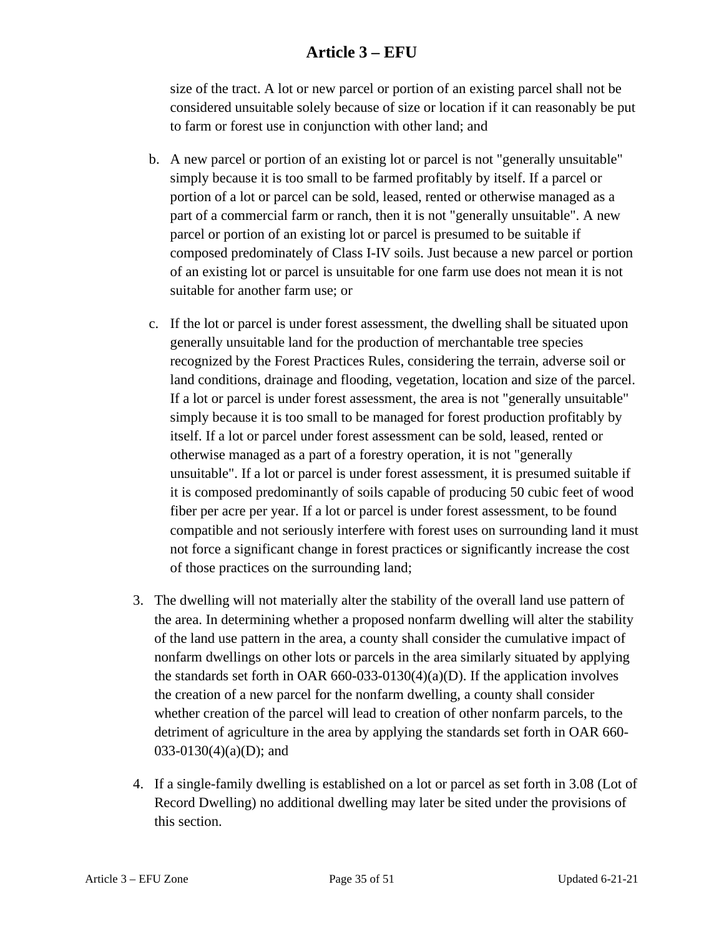size of the tract. A lot or new parcel or portion of an existing parcel shall not be considered unsuitable solely because of size or location if it can reasonably be put to farm or forest use in conjunction with other land; and

- b. A new parcel or portion of an existing lot or parcel is not "generally unsuitable" simply because it is too small to be farmed profitably by itself. If a parcel or portion of a lot or parcel can be sold, leased, rented or otherwise managed as a part of a commercial farm or ranch, then it is not "generally unsuitable". A new parcel or portion of an existing lot or parcel is presumed to be suitable if composed predominately of Class I-IV soils. Just because a new parcel or portion of an existing lot or parcel is unsuitable for one farm use does not mean it is not suitable for another farm use; or
- c. If the lot or parcel is under forest assessment, the dwelling shall be situated upon generally unsuitable land for the production of merchantable tree species recognized by the Forest Practices Rules, considering the terrain, adverse soil or land conditions, drainage and flooding, vegetation, location and size of the parcel. If a lot or parcel is under forest assessment, the area is not "generally unsuitable" simply because it is too small to be managed for forest production profitably by itself. If a lot or parcel under forest assessment can be sold, leased, rented or otherwise managed as a part of a forestry operation, it is not "generally unsuitable". If a lot or parcel is under forest assessment, it is presumed suitable if it is composed predominantly of soils capable of producing 50 cubic feet of wood fiber per acre per year. If a lot or parcel is under forest assessment, to be found compatible and not seriously interfere with forest uses on surrounding land it must not force a significant change in forest practices or significantly increase the cost of those practices on the surrounding land;
- 3. The dwelling will not materially alter the stability of the overall land use pattern of the area. In determining whether a proposed nonfarm dwelling will alter the stability of the land use pattern in the area, a county shall consider the cumulative impact of nonfarm dwellings on other lots or parcels in the area similarly situated by applying the standards set forth in OAR 660-033-0130(4)(a)(D). If the application involves the creation of a new parcel for the nonfarm dwelling, a county shall consider whether creation of the parcel will lead to creation of other nonfarm parcels, to the detriment of agriculture in the area by applying the standards set forth in OAR 660- 033-0130(4)(a)(D); and
- 4. If a single-family dwelling is established on a lot or parcel as set forth in 3.08 (Lot of Record Dwelling) no additional dwelling may later be sited under the provisions of this section.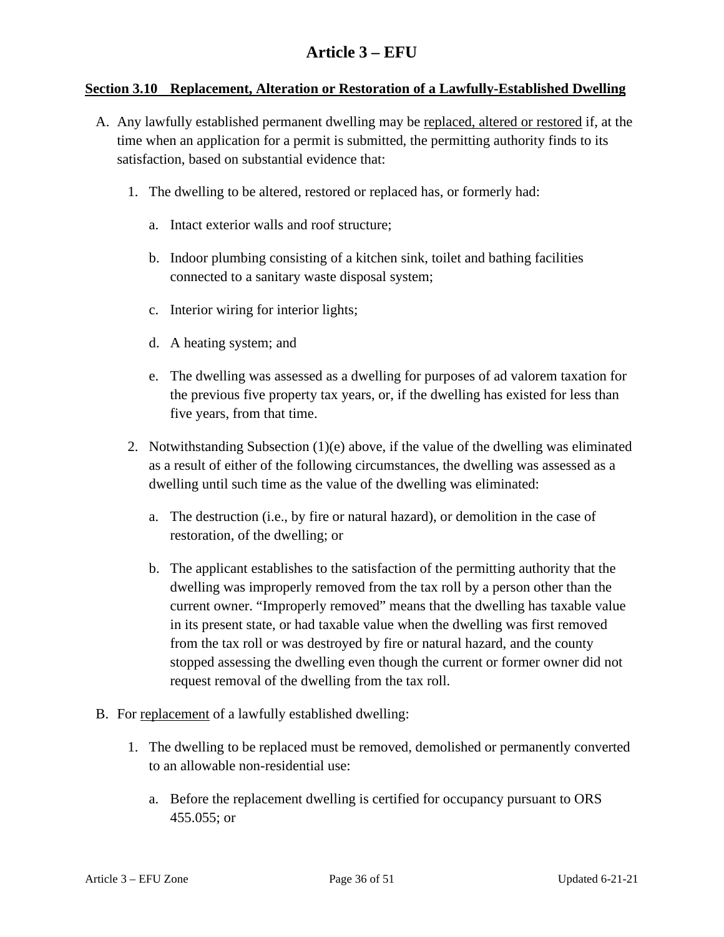#### <span id="page-35-0"></span>**Section 3.10 Replacement, Alteration or Restoration of a Lawfully-Established Dwelling**

- A. Any lawfully established permanent dwelling may be replaced, altered or restored if, at the time when an application for a permit is submitted, the permitting authority finds to its satisfaction, based on substantial evidence that:
	- 1. The dwelling to be altered, restored or replaced has, or formerly had:
		- a. Intact exterior walls and roof structure;
		- b. Indoor plumbing consisting of a kitchen sink, toilet and bathing facilities connected to a sanitary waste disposal system;
		- c. Interior wiring for interior lights;
		- d. A heating system; and
		- e. The dwelling was assessed as a dwelling for purposes of ad valorem taxation for the previous five property tax years, or, if the dwelling has existed for less than five years, from that time.
	- 2. Notwithstanding Subsection (1)(e) above, if the value of the dwelling was eliminated as a result of either of the following circumstances, the dwelling was assessed as a dwelling until such time as the value of the dwelling was eliminated:
		- a. The destruction (i.e., by fire or natural hazard), or demolition in the case of restoration, of the dwelling; or
		- b. The applicant establishes to the satisfaction of the permitting authority that the dwelling was improperly removed from the tax roll by a person other than the current owner. "Improperly removed" means that the dwelling has taxable value in its present state, or had taxable value when the dwelling was first removed from the tax roll or was destroyed by fire or natural hazard, and the county stopped assessing the dwelling even though the current or former owner did not request removal of the dwelling from the tax roll.
- B. For replacement of a lawfully established dwelling:
	- 1. The dwelling to be replaced must be removed, demolished or permanently converted to an allowable non-residential use:
		- a. Before the replacement dwelling is certified for occupancy pursuant to ORS 455.055; or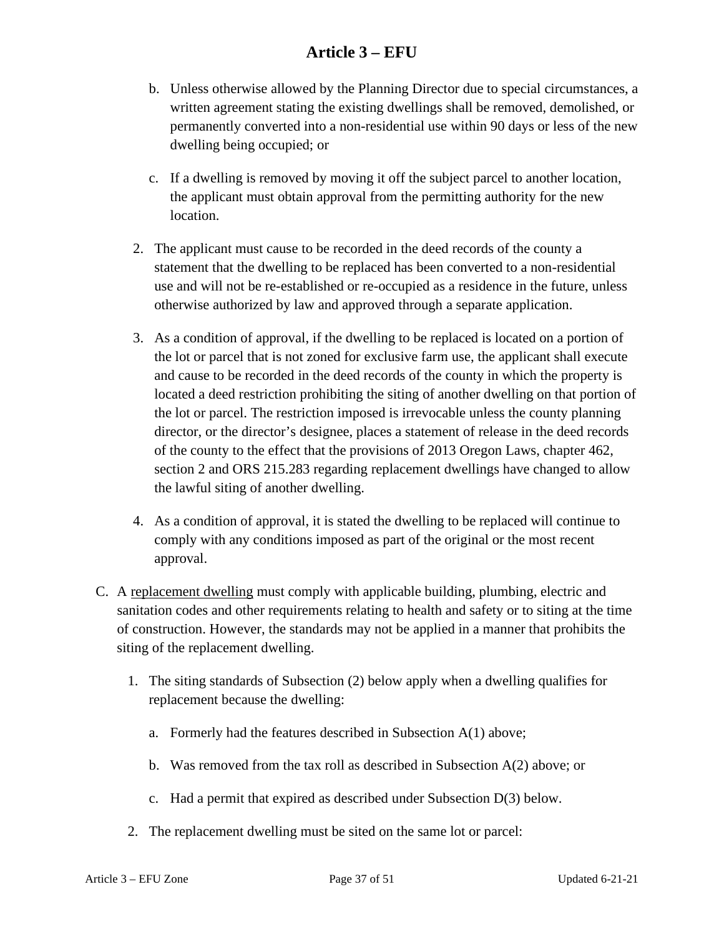- b. Unless otherwise allowed by the Planning Director due to special circumstances, a written agreement stating the existing dwellings shall be removed, demolished, or permanently converted into a non-residential use within 90 days or less of the new dwelling being occupied; or
- c. If a dwelling is removed by moving it off the subject parcel to another location, the applicant must obtain approval from the permitting authority for the new location.
- 2. The applicant must cause to be recorded in the deed records of the county a statement that the dwelling to be replaced has been converted to a non-residential use and will not be re-established or re-occupied as a residence in the future, unless otherwise authorized by law and approved through a separate application.
- 3. As a condition of approval, if the dwelling to be replaced is located on a portion of the lot or parcel that is not zoned for exclusive farm use, the applicant shall execute and cause to be recorded in the deed records of the county in which the property is located a deed restriction prohibiting the siting of another dwelling on that portion of the lot or parcel. The restriction imposed is irrevocable unless the county planning director, or the director's designee, places a statement of release in the deed records of the county to the effect that the provisions of 2013 Oregon Laws, chapter 462, section 2 and ORS 215.283 regarding replacement dwellings have changed to allow the lawful siting of another dwelling.
- 4. As a condition of approval, it is stated the dwelling to be replaced will continue to comply with any conditions imposed as part of the original or the most recent approval.
- C. A replacement dwelling must comply with applicable building, plumbing, electric and sanitation codes and other requirements relating to health and safety or to siting at the time of construction. However, the standards may not be applied in a manner that prohibits the siting of the replacement dwelling.
	- 1. The siting standards of Subsection (2) below apply when a dwelling qualifies for replacement because the dwelling:
		- a. Formerly had the features described in Subsection A(1) above;
		- b. Was removed from the tax roll as described in Subsection A(2) above; or
		- c. Had a permit that expired as described under Subsection D(3) below.
	- 2. The replacement dwelling must be sited on the same lot or parcel: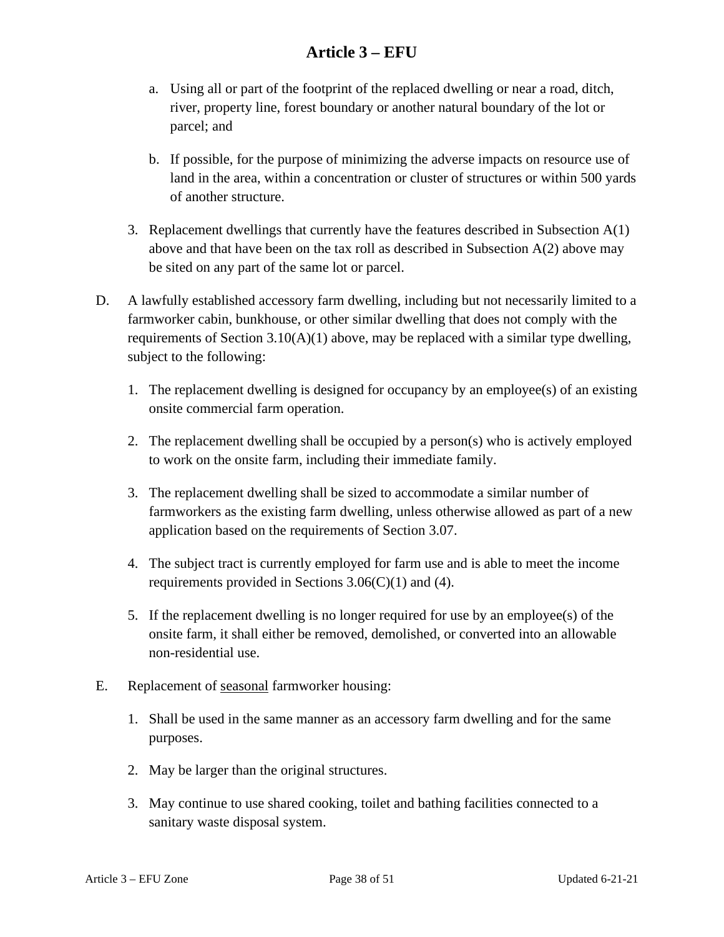- a. Using all or part of the footprint of the replaced dwelling or near a road, ditch, river, property line, forest boundary or another natural boundary of the lot or parcel; and
- b. If possible, for the purpose of minimizing the adverse impacts on resource use of land in the area, within a concentration or cluster of structures or within 500 yards of another structure.
- 3. Replacement dwellings that currently have the features described in Subsection A(1) above and that have been on the tax roll as described in Subsection A(2) above may be sited on any part of the same lot or parcel.
- D. A lawfully established accessory farm dwelling, including but not necessarily limited to a farmworker cabin, bunkhouse, or other similar dwelling that does not comply with the requirements of Section  $3.10(A)(1)$  above, may be replaced with a similar type dwelling, subject to the following:
	- 1. The replacement dwelling is designed for occupancy by an employee(s) of an existing onsite commercial farm operation.
	- 2. The replacement dwelling shall be occupied by a person(s) who is actively employed to work on the onsite farm, including their immediate family.
	- 3. The replacement dwelling shall be sized to accommodate a similar number of farmworkers as the existing farm dwelling, unless otherwise allowed as part of a new application based on the requirements of Section 3.07.
	- 4. The subject tract is currently employed for farm use and is able to meet the income requirements provided in Sections  $3.06(C)(1)$  and (4).
	- 5. If the replacement dwelling is no longer required for use by an employee(s) of the onsite farm, it shall either be removed, demolished, or converted into an allowable non-residential use.
- E. Replacement of seasonal farmworker housing:
	- 1. Shall be used in the same manner as an accessory farm dwelling and for the same purposes.
	- 2. May be larger than the original structures.
	- 3. May continue to use shared cooking, toilet and bathing facilities connected to a sanitary waste disposal system.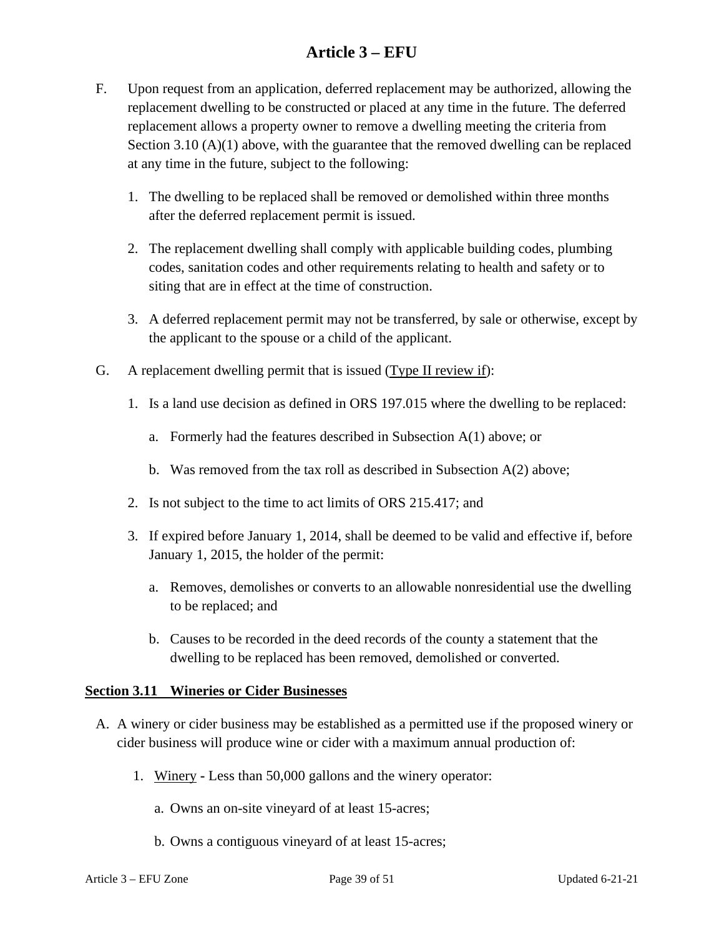- F. Upon request from an application, deferred replacement may be authorized, allowing the replacement dwelling to be constructed or placed at any time in the future. The deferred replacement allows a property owner to remove a dwelling meeting the criteria from Section 3.10  $(A)(1)$  above, with the guarantee that the removed dwelling can be replaced at any time in the future, subject to the following:
	- 1. The dwelling to be replaced shall be removed or demolished within three months after the deferred replacement permit is issued.
	- 2. The replacement dwelling shall comply with applicable building codes, plumbing codes, sanitation codes and other requirements relating to health and safety or to siting that are in effect at the time of construction.
	- 3. A deferred replacement permit may not be transferred, by sale or otherwise, except by the applicant to the spouse or a child of the applicant.
- G. A replacement dwelling permit that is issued (Type II review if):
	- 1. Is a land use decision as defined in ORS 197.015 where the dwelling to be replaced:
		- a. Formerly had the features described in Subsection A(1) above; or
		- b. Was removed from the tax roll as described in Subsection A(2) above;
	- 2. Is not subject to the time to act limits of ORS 215.417; and
	- 3. If expired before January 1, 2014, shall be deemed to be valid and effective if, before January 1, 2015, the holder of the permit:
		- a. Removes, demolishes or converts to an allowable nonresidential use the dwelling to be replaced; and
		- b. Causes to be recorded in the deed records of the county a statement that the dwelling to be replaced has been removed, demolished or converted.

#### <span id="page-38-0"></span>**Section 3.11 Wineries or Cider Businesses**

- A. A winery or cider business may be established as a permitted use if the proposed winery or cider business will produce wine or cider with a maximum annual production of:
	- 1. Winery **-** Less than 50,000 gallons and the winery operator:
		- a. Owns an on-site vineyard of at least 15-acres;
		- b. Owns a contiguous vineyard of at least 15-acres;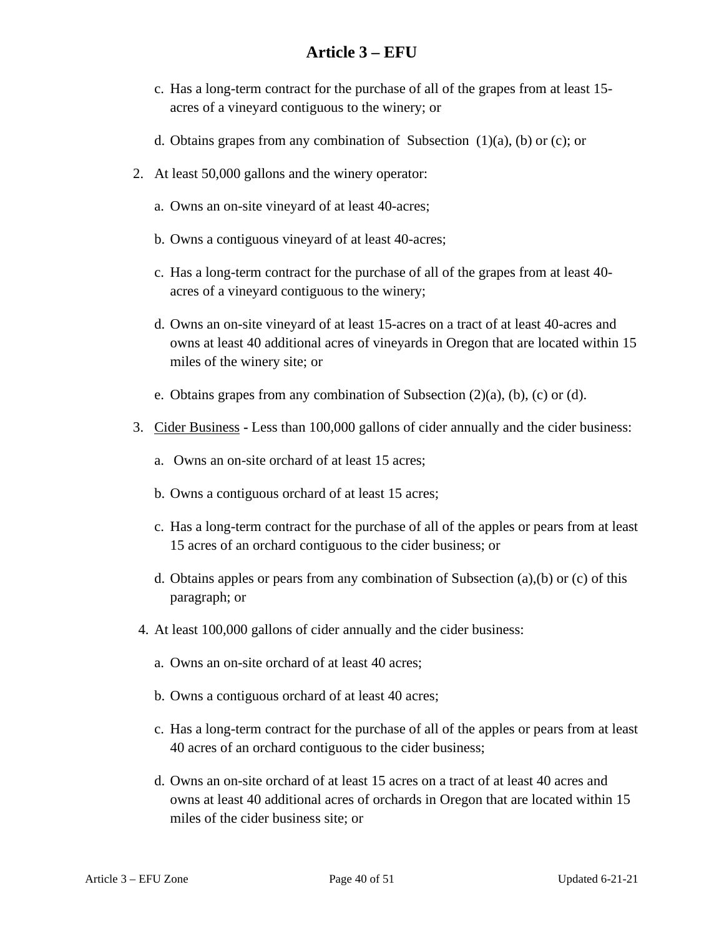- c. Has a long-term contract for the purchase of all of the grapes from at least 15 acres of a vineyard contiguous to the winery; or
- d. Obtains grapes from any combination of Subsection (1)(a), (b) or (c); or
- 2. At least 50,000 gallons and the winery operator:
	- a. Owns an on-site vineyard of at least 40-acres;
	- b. Owns a contiguous vineyard of at least 40-acres;
	- c. Has a long-term contract for the purchase of all of the grapes from at least 40 acres of a vineyard contiguous to the winery;
	- d. Owns an on-site vineyard of at least 15-acres on a tract of at least 40-acres and owns at least 40 additional acres of vineyards in Oregon that are located within 15 miles of the winery site; or
	- e. Obtains grapes from any combination of Subsection (2)(a), (b), (c) or (d).
- 3. Cider Business **-** Less than 100,000 gallons of cider annually and the cider business:
	- a. Owns an on-site orchard of at least 15 acres;
	- b. Owns a contiguous orchard of at least 15 acres;
	- c. Has a long-term contract for the purchase of all of the apples or pears from at least 15 acres of an orchard contiguous to the cider business; or
	- d. Obtains apples or pears from any combination of Subsection (a),(b) or (c) of this paragraph; or
- 4. At least 100,000 gallons of cider annually and the cider business:
	- a. Owns an on-site orchard of at least 40 acres;
	- b. Owns a contiguous orchard of at least 40 acres;
	- c. Has a long-term contract for the purchase of all of the apples or pears from at least 40 acres of an orchard contiguous to the cider business;
	- d. Owns an on-site orchard of at least 15 acres on a tract of at least 40 acres and owns at least 40 additional acres of orchards in Oregon that are located within 15 miles of the cider business site; or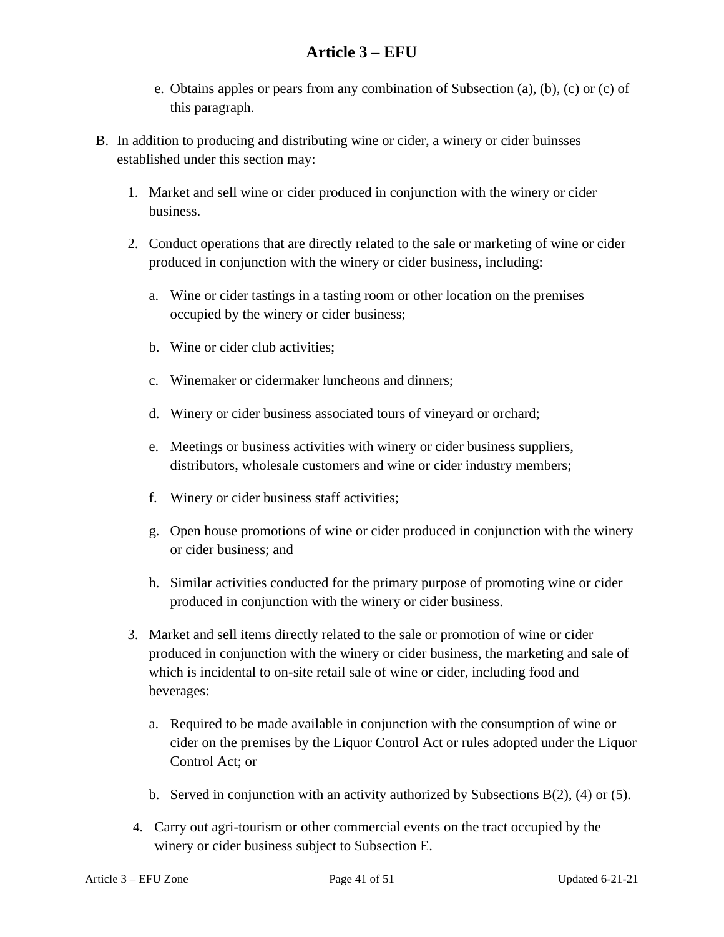- e. Obtains apples or pears from any combination of Subsection (a), (b), (c) or (c) of this paragraph.
- B. In addition to producing and distributing wine or cider, a winery or cider buinsses established under this section may:
	- 1. Market and sell wine or cider produced in conjunction with the winery or cider business.
	- 2. Conduct operations that are directly related to the sale or marketing of wine or cider produced in conjunction with the winery or cider business, including:
		- a. Wine or cider tastings in a tasting room or other location on the premises occupied by the winery or cider business;
		- b. Wine or cider club activities;
		- c. Winemaker or cidermaker luncheons and dinners;
		- d. Winery or cider business associated tours of vineyard or orchard;
		- e. Meetings or business activities with winery or cider business suppliers, distributors, wholesale customers and wine or cider industry members;
		- f. Winery or cider business staff activities;
		- g. Open house promotions of wine or cider produced in conjunction with the winery or cider business; and
		- h. Similar activities conducted for the primary purpose of promoting wine or cider produced in conjunction with the winery or cider business.
	- 3. Market and sell items directly related to the sale or promotion of wine or cider produced in conjunction with the winery or cider business, the marketing and sale of which is incidental to on-site retail sale of wine or cider, including food and beverages:
		- a. Required to be made available in conjunction with the consumption of wine or cider on the premises by the Liquor Control Act or rules adopted under the Liquor Control Act; or
		- b. Served in conjunction with an activity authorized by Subsections B(2), (4) or (5).
	- 4. Carry out agri-tourism or other commercial events on the tract occupied by the winery or cider business subject to Subsection E.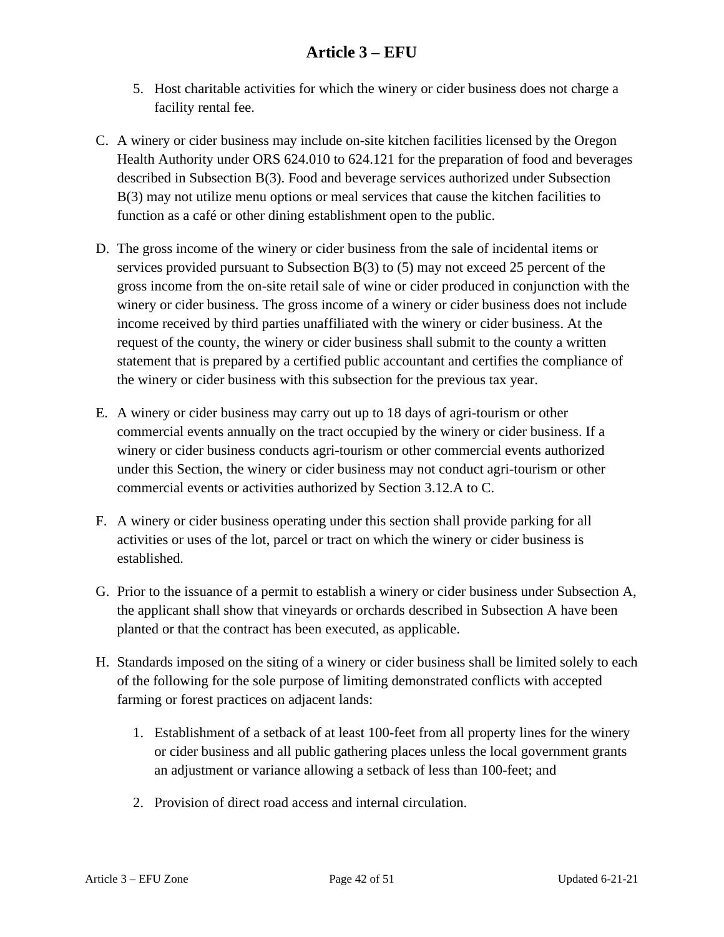- 5. Host charitable activities for which the winery or cider business does not charge a facility rental fee.
- C. A winery or cider business may include on-site kitchen facilities licensed by the Oregon Health Authority under ORS 624.010 to 624.121 for the preparation of food and beverages described in Subsection B(3). Food and beverage services authorized under Subsection B(3) may not utilize menu options or meal services that cause the kitchen facilities to function as a café or other dining establishment open to the public.
- D. The gross income of the winery or cider business from the sale of incidental items or services provided pursuant to Subsection B(3) to (5) may not exceed 25 percent of the gross income from the on-site retail sale of wine or cider produced in conjunction with the winery or cider business. The gross income of a winery or cider business does not include income received by third parties unaffiliated with the winery or cider business. At the request of the county, the winery or cider business shall submit to the county a written statement that is prepared by a certified public accountant and certifies the compliance of the winery or cider business with this subsection for the previous tax year.
- E. A winery or cider business may carry out up to 18 days of agri-tourism or other commercial events annually on the tract occupied by the winery or cider business. If a winery or cider business conducts agri-tourism or other commercial events authorized under this Section, the winery or cider business may not conduct agri-tourism or other commercial events or activities authorized by Section 3.12.A to C.
- F. A winery or cider business operating under this section shall provide parking for all activities or uses of the lot, parcel or tract on which the winery or cider business is established.
- G. Prior to the issuance of a permit to establish a winery or cider business under Subsection A, the applicant shall show that vineyards or orchards described in Subsection A have been planted or that the contract has been executed, as applicable.
- H. Standards imposed on the siting of a winery or cider business shall be limited solely to each of the following for the sole purpose of limiting demonstrated conflicts with accepted farming or forest practices on adjacent lands:
	- 1. Establishment of a setback of at least 100-feet from all property lines for the winery or cider business and all public gathering places unless the local government grants an adjustment or variance allowing a setback of less than 100-feet; and
	- 2. Provision of direct road access and internal circulation.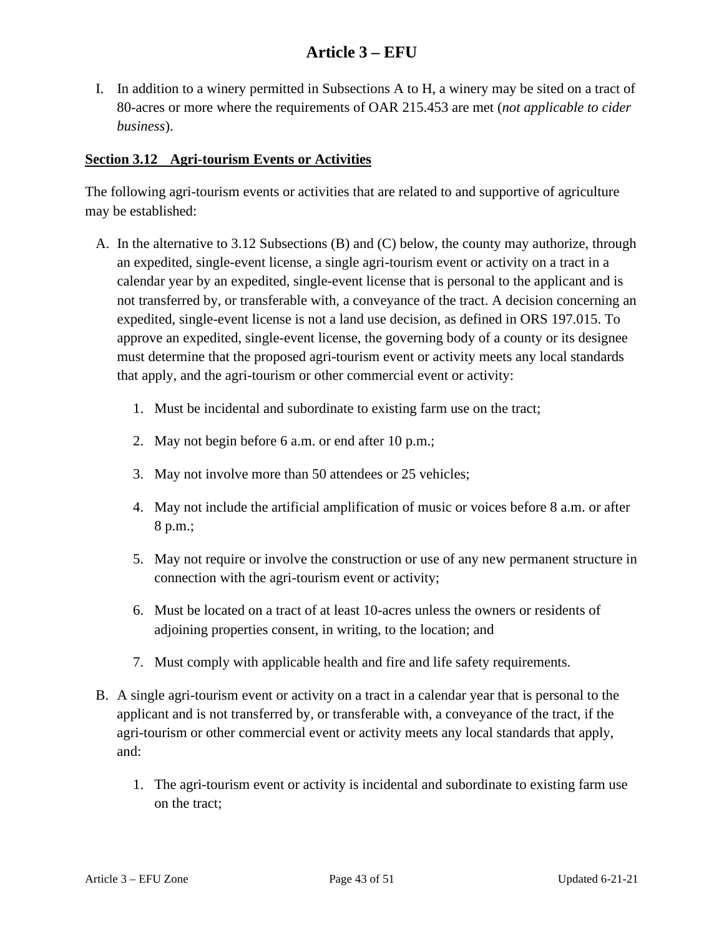I. In addition to a winery permitted in Subsections A to H, a winery may be sited on a tract of 80-acres or more where the requirements of OAR 215.453 are met (*not applicable to cider business*).

#### <span id="page-42-0"></span>**Section 3.12 Agri-tourism Events or Activities**

The following agri-tourism events or activities that are related to and supportive of agriculture may be established:

- A. In the alternative to 3.12 Subsections (B) and (C) below, the county may authorize, through an expedited, single-event license, a single agri-tourism event or activity on a tract in a calendar year by an expedited, single-event license that is personal to the applicant and is not transferred by, or transferable with, a conveyance of the tract. A decision concerning an expedited, single-event license is not a land use decision, as defined in ORS 197.015. To approve an expedited, single-event license, the governing body of a county or its designee must determine that the proposed agri-tourism event or activity meets any local standards that apply, and the agri-tourism or other commercial event or activity:
	- 1. Must be incidental and subordinate to existing farm use on the tract;
	- 2. May not begin before 6 a.m. or end after 10 p.m.;
	- 3. May not involve more than 50 attendees or 25 vehicles;
	- 4. May not include the artificial amplification of music or voices before 8 a.m. or after 8 p.m.;
	- 5. May not require or involve the construction or use of any new permanent structure in connection with the agri-tourism event or activity;
	- 6. Must be located on a tract of at least 10-acres unless the owners or residents of adjoining properties consent, in writing, to the location; and
	- 7. Must comply with applicable health and fire and life safety requirements.
- B. A single agri-tourism event or activity on a tract in a calendar year that is personal to the applicant and is not transferred by, or transferable with, a conveyance of the tract, if the agri-tourism or other commercial event or activity meets any local standards that apply, and:
	- 1. The agri-tourism event or activity is incidental and subordinate to existing farm use on the tract;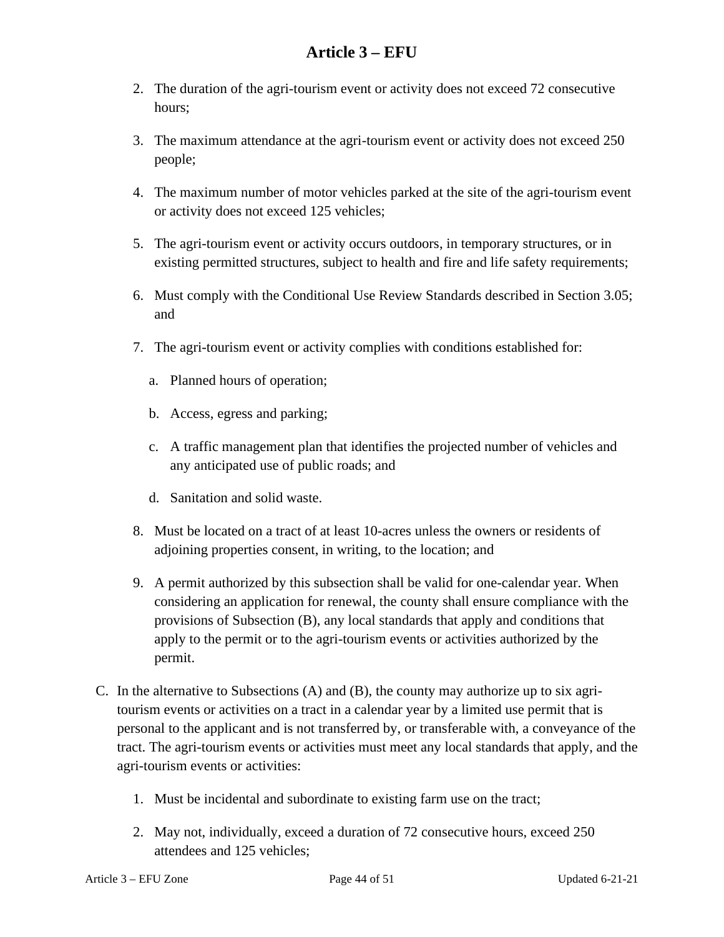- 2. The duration of the agri-tourism event or activity does not exceed 72 consecutive hours;
- 3. The maximum attendance at the agri-tourism event or activity does not exceed 250 people;
- 4. The maximum number of motor vehicles parked at the site of the agri-tourism event or activity does not exceed 125 vehicles;
- 5. The agri-tourism event or activity occurs outdoors, in temporary structures, or in existing permitted structures, subject to health and fire and life safety requirements;
- 6. Must comply with the Conditional Use Review Standards described in Section 3.05; and
- 7. The agri-tourism event or activity complies with conditions established for:
	- a. Planned hours of operation;
	- b. Access, egress and parking;
	- c. A traffic management plan that identifies the projected number of vehicles and any anticipated use of public roads; and
	- d. Sanitation and solid waste.
- 8. Must be located on a tract of at least 10-acres unless the owners or residents of adjoining properties consent, in writing, to the location; and
- 9. A permit authorized by this subsection shall be valid for one-calendar year. When considering an application for renewal, the county shall ensure compliance with the provisions of Subsection (B), any local standards that apply and conditions that apply to the permit or to the agri-tourism events or activities authorized by the permit.
- C. In the alternative to Subsections (A) and (B), the county may authorize up to six agritourism events or activities on a tract in a calendar year by a limited use permit that is personal to the applicant and is not transferred by, or transferable with, a conveyance of the tract. The agri-tourism events or activities must meet any local standards that apply, and the agri-tourism events or activities:
	- 1. Must be incidental and subordinate to existing farm use on the tract;
	- 2. May not, individually, exceed a duration of 72 consecutive hours, exceed 250 attendees and 125 vehicles;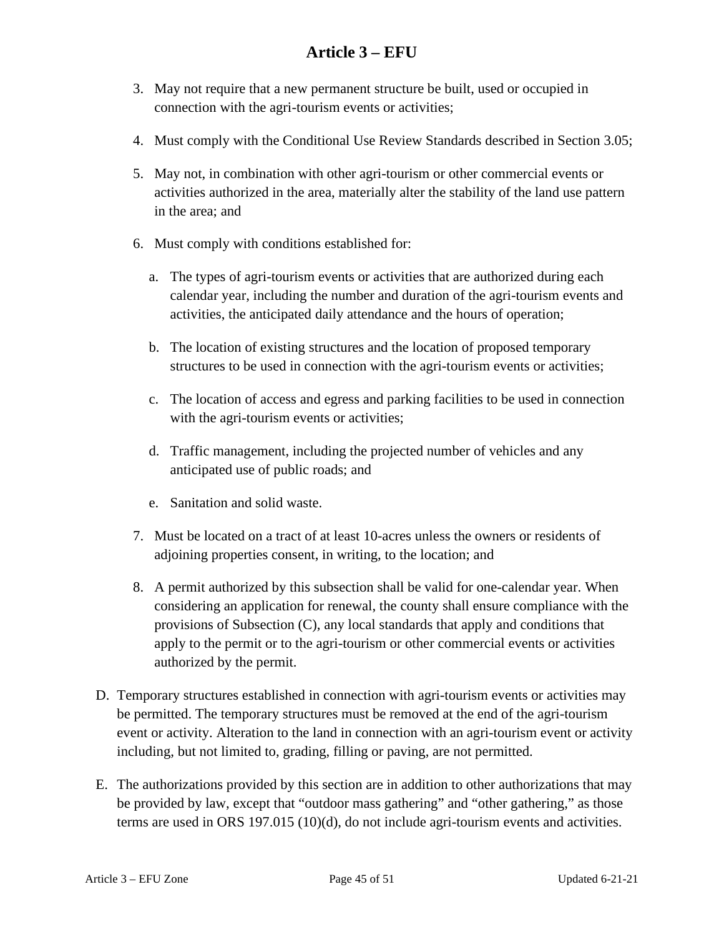- 3. May not require that a new permanent structure be built, used or occupied in connection with the agri-tourism events or activities;
- 4. Must comply with the Conditional Use Review Standards described in Section 3.05;
- 5. May not, in combination with other agri-tourism or other commercial events or activities authorized in the area, materially alter the stability of the land use pattern in the area; and
- 6. Must comply with conditions established for:
	- a. The types of agri-tourism events or activities that are authorized during each calendar year, including the number and duration of the agri-tourism events and activities, the anticipated daily attendance and the hours of operation;
	- b. The location of existing structures and the location of proposed temporary structures to be used in connection with the agri-tourism events or activities;
	- c. The location of access and egress and parking facilities to be used in connection with the agri-tourism events or activities;
	- d. Traffic management, including the projected number of vehicles and any anticipated use of public roads; and
	- e. Sanitation and solid waste.
- 7. Must be located on a tract of at least 10-acres unless the owners or residents of adjoining properties consent, in writing, to the location; and
- 8. A permit authorized by this subsection shall be valid for one-calendar year. When considering an application for renewal, the county shall ensure compliance with the provisions of Subsection (C), any local standards that apply and conditions that apply to the permit or to the agri-tourism or other commercial events or activities authorized by the permit.
- D. Temporary structures established in connection with agri-tourism events or activities may be permitted. The temporary structures must be removed at the end of the agri-tourism event or activity. Alteration to the land in connection with an agri-tourism event or activity including, but not limited to, grading, filling or paving, are not permitted.
- E. The authorizations provided by this section are in addition to other authorizations that may be provided by law, except that "outdoor mass gathering" and "other gathering," as those terms are used in ORS 197.015 (10)(d), do not include agri-tourism events and activities.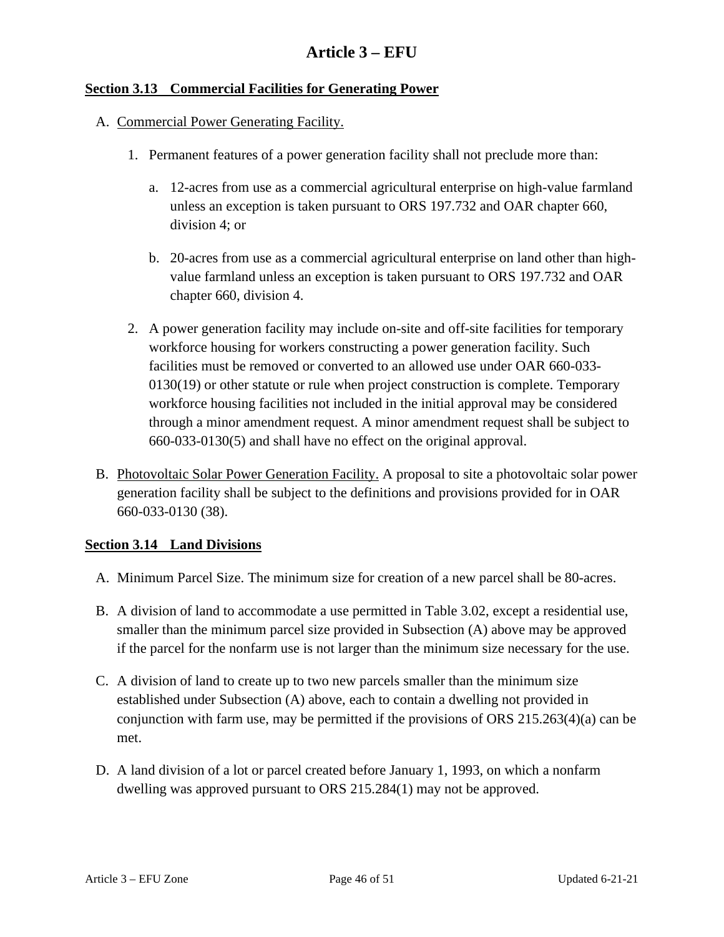#### <span id="page-45-0"></span>**Section 3.13 Commercial Facilities for Generating Power**

#### A. Commercial Power Generating Facility.

- 1. Permanent features of a power generation facility shall not preclude more than:
	- a. 12-acres from use as a commercial agricultural enterprise on high-value farmland unless an exception is taken pursuant to ORS 197.732 and OAR chapter 660, division 4; or
	- b. 20-acres from use as a commercial agricultural enterprise on land other than highvalue farmland unless an exception is taken pursuant to ORS 197.732 and OAR chapter 660, division 4.
- 2. A power generation facility may include on-site and off-site facilities for temporary workforce housing for workers constructing a power generation facility. Such facilities must be removed or converted to an allowed use under OAR 660-033- 0130(19) or other statute or rule when project construction is complete. Temporary workforce housing facilities not included in the initial approval may be considered through a minor amendment request. A minor amendment request shall be subject to 660-033-0130(5) and shall have no effect on the original approval.
- <span id="page-45-1"></span>B. Photovoltaic Solar Power Generation Facility. A proposal to site a photovoltaic solar power generation facility shall be subject to the definitions and provisions provided for in OAR 660-033-0130 (38).

#### **Section 3.14 Land Divisions**

- A. Minimum Parcel Size. The minimum size for creation of a new parcel shall be 80-acres.
- B. A division of land to accommodate a use permitted in Table 3.02, except a residential use, smaller than the minimum parcel size provided in Subsection (A) above may be approved if the parcel for the nonfarm use is not larger than the minimum size necessary for the use.
- C. A division of land to create up to two new parcels smaller than the minimum size established under Subsection (A) above, each to contain a dwelling not provided in conjunction with farm use, may be permitted if the provisions of ORS 215.263(4)(a) can be met.
- D. A land division of a lot or parcel created before January 1, 1993, on which a nonfarm dwelling was approved pursuant to ORS 215.284(1) may not be approved.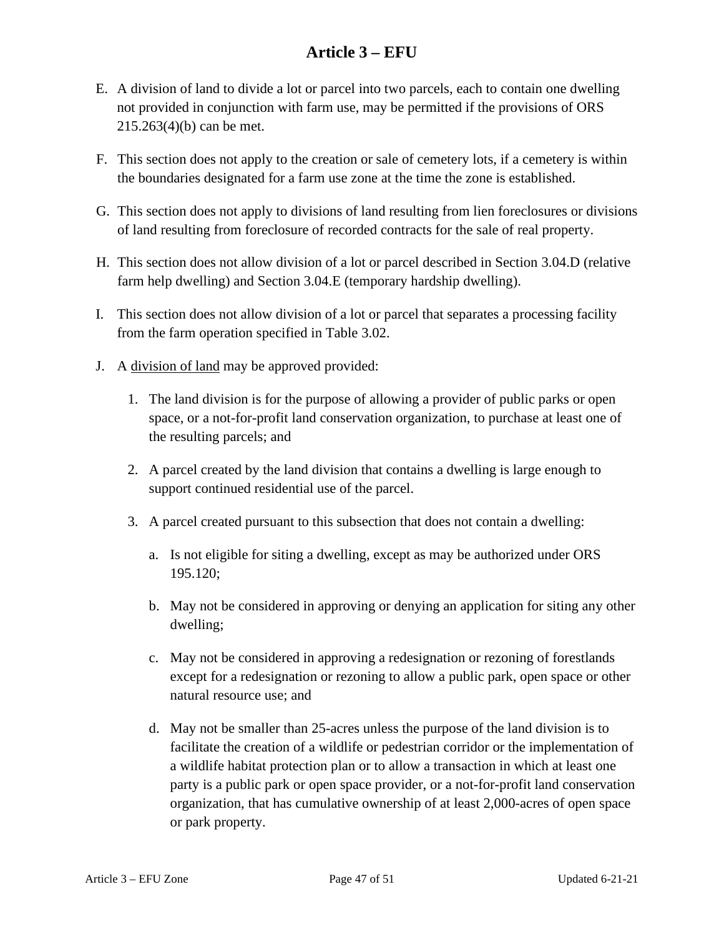- E. A division of land to divide a lot or parcel into two parcels, each to contain one dwelling not provided in conjunction with farm use, may be permitted if the provisions of ORS 215.263(4)(b) can be met.
- F. This section does not apply to the creation or sale of cemetery lots, if a cemetery is within the boundaries designated for a farm use zone at the time the zone is established.
- G. This section does not apply to divisions of land resulting from lien foreclosures or divisions of land resulting from foreclosure of recorded contracts for the sale of real property.
- H. This section does not allow division of a lot or parcel described in Section 3.04.D (relative farm help dwelling) and Section 3.04.E (temporary hardship dwelling).
- I. This section does not allow division of a lot or parcel that separates a processing facility from the farm operation specified in Table 3.02.
- J. A division of land may be approved provided:
	- 1. The land division is for the purpose of allowing a provider of public parks or open space, or a not-for-profit land conservation organization, to purchase at least one of the resulting parcels; and
	- 2. A parcel created by the land division that contains a dwelling is large enough to support continued residential use of the parcel.
	- 3. A parcel created pursuant to this subsection that does not contain a dwelling:
		- a. Is not eligible for siting a dwelling, except as may be authorized under ORS 195.120;
		- b. May not be considered in approving or denying an application for siting any other dwelling;
		- c. May not be considered in approving a redesignation or rezoning of forestlands except for a redesignation or rezoning to allow a public park, open space or other natural resource use; and
		- d. May not be smaller than 25-acres unless the purpose of the land division is to facilitate the creation of a wildlife or pedestrian corridor or the implementation of a wildlife habitat protection plan or to allow a transaction in which at least one party is a public park or open space provider, or a not-for-profit land conservation organization, that has cumulative ownership of at least 2,000-acres of open space or park property.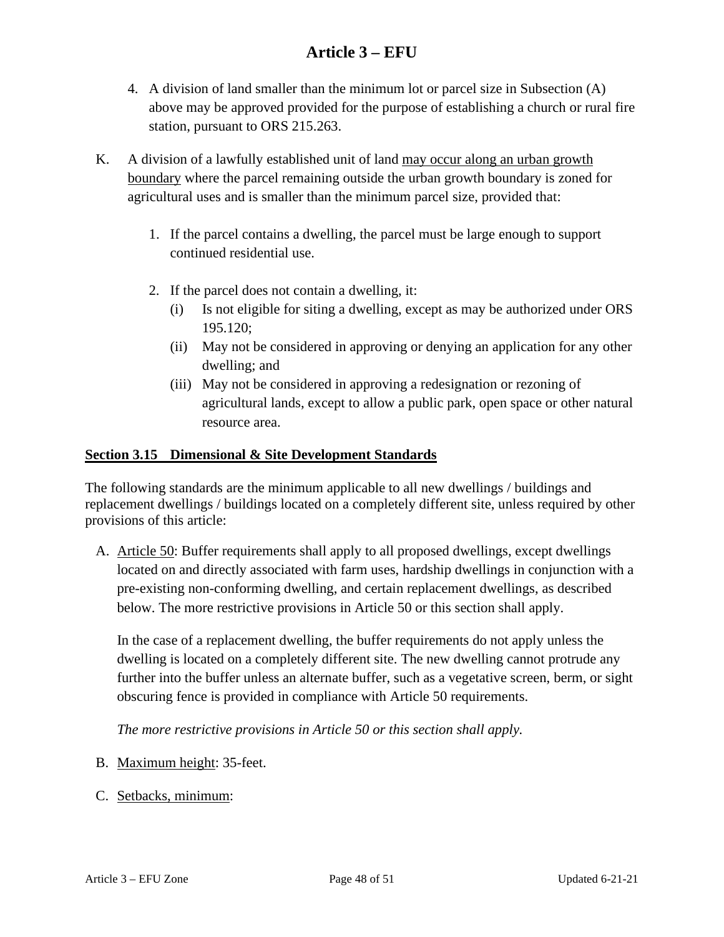- 4. A division of land smaller than the minimum lot or parcel size in Subsection (A) above may be approved provided for the purpose of establishing a church or rural fire station, pursuant to ORS 215.263.
- K. A division of a lawfully established unit of land may occur along an urban growth boundary where the parcel remaining outside the urban growth boundary is zoned for agricultural uses and is smaller than the minimum parcel size, provided that:
	- 1. If the parcel contains a dwelling, the parcel must be large enough to support continued residential use.
	- 2. If the parcel does not contain a dwelling, it:
		- (i) Is not eligible for siting a dwelling, except as may be authorized under ORS 195.120;
		- (ii) May not be considered in approving or denying an application for any other dwelling; and
		- (iii) May not be considered in approving a redesignation or rezoning of agricultural lands, except to allow a public park, open space or other natural resource area.

#### <span id="page-47-0"></span>**Section 3.15 Dimensional & Site Development Standards**

The following standards are the minimum applicable to all new dwellings / buildings and replacement dwellings / buildings located on a completely different site, unless required by other provisions of this article:

A. Article 50: Buffer requirements shall apply to all proposed dwellings, except dwellings located on and directly associated with farm uses, hardship dwellings in conjunction with a pre-existing non-conforming dwelling, and certain replacement dwellings, as described below. The more restrictive provisions in Article 50 or this section shall apply.

In the case of a replacement dwelling, the buffer requirements do not apply unless the dwelling is located on a completely different site. The new dwelling cannot protrude any further into the buffer unless an alternate buffer, such as a vegetative screen, berm, or sight obscuring fence is provided in compliance with Article 50 requirements.

*The more restrictive provisions in Article 50 or this section shall apply.* 

- B. Maximum height: 35-feet.
- C. Setbacks, minimum: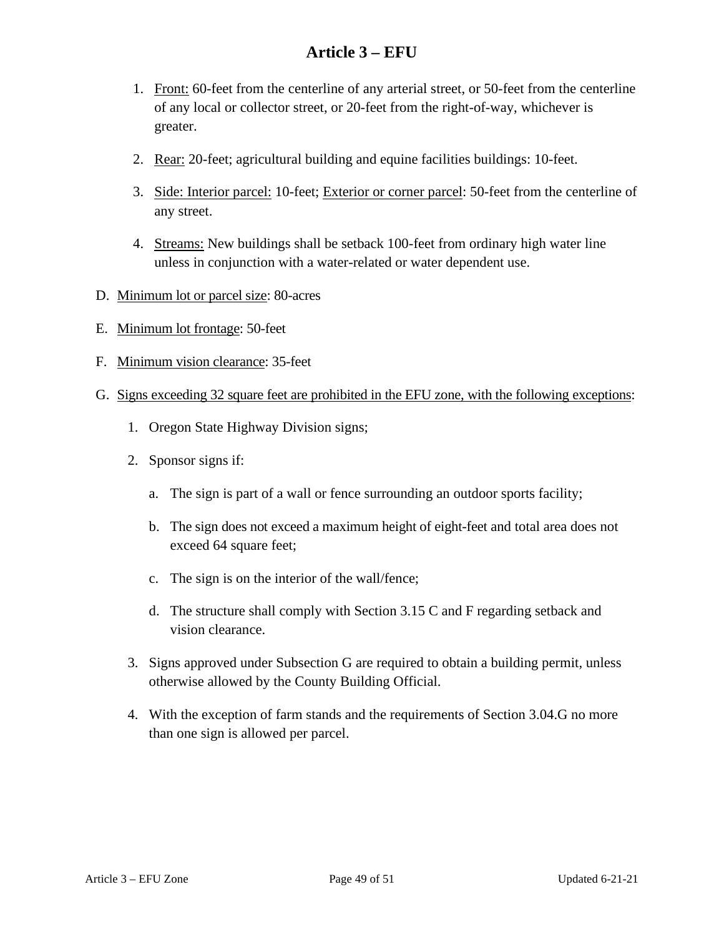- 1. Front: 60-feet from the centerline of any arterial street, or 50-feet from the centerline of any local or collector street, or 20-feet from the right-of-way, whichever is greater.
- 2. Rear: 20-feet; agricultural building and equine facilities buildings: 10-feet.
- 3. Side: Interior parcel: 10-feet; Exterior or corner parcel: 50-feet from the centerline of any street.
- 4. Streams: New buildings shall be setback 100-feet from ordinary high water line unless in conjunction with a water-related or water dependent use.
- D. Minimum lot or parcel size: 80-acres
- E. Minimum lot frontage: 50-feet
- F. Minimum vision clearance: 35-feet
- G. Signs exceeding 32 square feet are prohibited in the EFU zone, with the following exceptions:
	- 1. Oregon State Highway Division signs;
	- 2. Sponsor signs if:
		- a. The sign is part of a wall or fence surrounding an outdoor sports facility;
		- b. The sign does not exceed a maximum height of eight-feet and total area does not exceed 64 square feet;
		- c. The sign is on the interior of the wall/fence;
		- d. The structure shall comply with Section 3.15 C and F regarding setback and vision clearance.
	- 3. Signs approved under Subsection G are required to obtain a building permit, unless otherwise allowed by the County Building Official.
	- 4. With the exception of farm stands and the requirements of Section 3.04.G no more than one sign is allowed per parcel.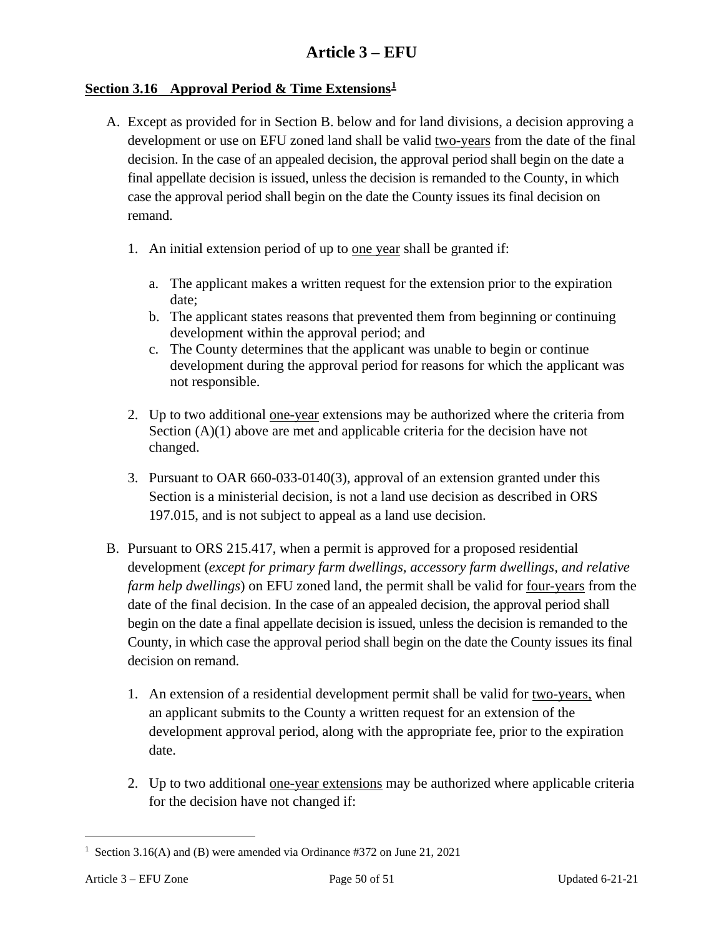#### <span id="page-49-0"></span>**Section 3.16 Approval Period & Time Extensions[1](#page-49-1)**

- A. Except as provided for in Section B. below and for land divisions, a decision approving a development or use on EFU zoned land shall be valid two-years from the date of the final decision. In the case of an appealed decision, the approval period shall begin on the date a final appellate decision is issued, unless the decision is remanded to the County, in which case the approval period shall begin on the date the County issues its final decision on remand.
	- 1. An initial extension period of up to one year shall be granted if:
		- a. The applicant makes a written request for the extension prior to the expiration date;
		- b. The applicant states reasons that prevented them from beginning or continuing development within the approval period; and
		- c. The County determines that the applicant was unable to begin or continue development during the approval period for reasons for which the applicant was not responsible.
	- 2. Up to two additional one-year extensions may be authorized where the criteria from Section (A)(1) above are met and applicable criteria for the decision have not changed.
	- 3. Pursuant to OAR 660-033-0140(3), approval of an extension granted under this Section is a ministerial decision, is not a land use decision as described in ORS 197.015, and is not subject to appeal as a land use decision.
- B. Pursuant to ORS 215.417, when a permit is approved for a proposed residential development (*except for primary farm dwellings, accessory farm dwellings, and relative farm help dwellings*) on EFU zoned land, the permit shall be valid for four-years from the date of the final decision. In the case of an appealed decision, the approval period shall begin on the date a final appellate decision is issued, unless the decision is remanded to the County, in which case the approval period shall begin on the date the County issues its final decision on remand.
	- 1. An extension of a residential development permit shall be valid for two-years, when an applicant submits to the County a written request for an extension of the development approval period, along with the appropriate fee, prior to the expiration date.
	- 2. Up to two additional one-year extensions may be authorized where applicable criteria for the decision have not changed if:

<span id="page-49-1"></span><sup>&</sup>lt;sup>1</sup> Section 3.16(A) and (B) were amended via Ordinance #372 on June 21, 2021